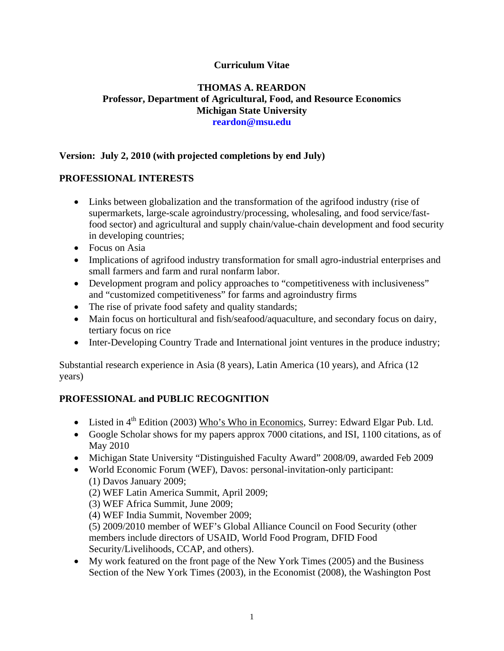### **Curriculum Vitae**

#### **THOMAS A. REARDON Professor, Department of Agricultural, Food, and Resource Economics Michigan State University reardon@msu.edu**

## **Version: July 2, 2010 (with projected completions by end July)**

### **PROFESSIONAL INTERESTS**

- Links between globalization and the transformation of the agrifood industry (rise of supermarkets, large-scale agroindustry/processing, wholesaling, and food service/fastfood sector) and agricultural and supply chain/value-chain development and food security in developing countries;
- Focus on Asia
- Implications of agrifood industry transformation for small agro-industrial enterprises and small farmers and farm and rural nonfarm labor.
- Development program and policy approaches to "competitiveness with inclusiveness" and "customized competitiveness" for farms and agroindustry firms
- The rise of private food safety and quality standards;
- Main focus on horticultural and fish/seafood/aquaculture, and secondary focus on dairy, tertiary focus on rice
- Inter-Developing Country Trade and International joint ventures in the produce industry;

Substantial research experience in Asia (8 years), Latin America (10 years), and Africa (12 years)

# **PROFESSIONAL and PUBLIC RECOGNITION**

- Listed in  $4<sup>th</sup>$  Edition (2003) Who's Who in Economics, Surrey: Edward Elgar Pub. Ltd.
- Google Scholar shows for my papers approx 7000 citations, and ISI, 1100 citations, as of May 2010
- Michigan State University "Distinguished Faculty Award" 2008/09, awarded Feb 2009
- World Economic Forum (WEF), Davos: personal-invitation-only participant: (1) Davos January 2009;
	- (2) WEF Latin America Summit, April 2009;
	- (3) WEF Africa Summit, June 2009;
	- (4) WEF India Summit, November 2009;

(5) 2009/2010 member of WEF's Global Alliance Council on Food Security (other members include directors of USAID, World Food Program, DFID Food Security/Livelihoods, CCAP, and others).

• My work featured on the front page of the New York Times (2005) and the Business Section of the New York Times (2003), in the Economist (2008), the Washington Post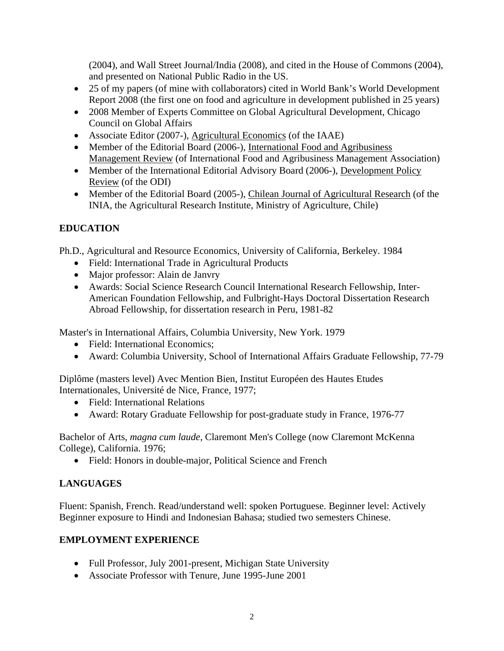(2004), and Wall Street Journal/India (2008), and cited in the House of Commons (2004), and presented on National Public Radio in the US.

- 25 of my papers (of mine with collaborators) cited in World Bank's World Development Report 2008 (the first one on food and agriculture in development published in 25 years)
- 2008 Member of Experts Committee on Global Agricultural Development, Chicago Council on Global Affairs
- Associate Editor (2007-), Agricultural Economics (of the IAAE)
- Member of the Editorial Board (2006-), International Food and Agribusiness Management Review (of International Food and Agribusiness Management Association)
- Member of the International Editorial Advisory Board (2006-), Development Policy Review (of the ODI)
- Member of the Editorial Board (2005-), Chilean Journal of Agricultural Research (of the INIA, the Agricultural Research Institute, Ministry of Agriculture, Chile)

# **EDUCATION**

Ph.D., Agricultural and Resource Economics, University of California, Berkeley. 1984

- Field: International Trade in Agricultural Products
- Major professor: Alain de Janvry
- Awards: Social Science Research Council International Research Fellowship, Inter-American Foundation Fellowship, and Fulbright-Hays Doctoral Dissertation Research Abroad Fellowship, for dissertation research in Peru, 1981-82

Master's in International Affairs, Columbia University, New York. 1979

- Field: International Economics:
- Award: Columbia University, School of International Affairs Graduate Fellowship, 77-79

Diplôme (masters level) Avec Mention Bien, Institut Européen des Hautes Etudes Internationales, Université de Nice, France, 1977;

- Field: International Relations
- Award: Rotary Graduate Fellowship for post-graduate study in France, 1976-77

Bachelor of Arts, *magna cum laude*, Claremont Men's College (now Claremont McKenna College), California. 1976;

• Field: Honors in double-major, Political Science and French

# **LANGUAGES**

Fluent: Spanish, French. Read/understand well: spoken Portuguese. Beginner level: Actively Beginner exposure to Hindi and Indonesian Bahasa; studied two semesters Chinese.

# **EMPLOYMENT EXPERIENCE**

- Full Professor, July 2001-present, Michigan State University
- Associate Professor with Tenure, June 1995-June 2001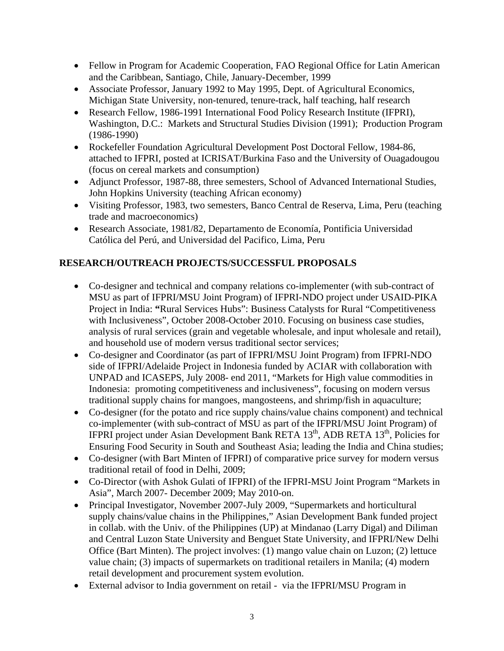- Fellow in Program for Academic Cooperation, FAO Regional Office for Latin American and the Caribbean, Santiago, Chile, January-December, 1999
- Associate Professor, January 1992 to May 1995, Dept. of Agricultural Economics, Michigan State University, non-tenured, tenure-track, half teaching, half research
- Research Fellow, 1986-1991 International Food Policy Research Institute (IFPRI), Washington, D.C.: Markets and Structural Studies Division (1991); Production Program (1986-1990)
- Rockefeller Foundation Agricultural Development Post Doctoral Fellow, 1984-86, attached to IFPRI, posted at ICRISAT/Burkina Faso and the University of Ouagadougou (focus on cereal markets and consumption)
- Adjunct Professor, 1987-88, three semesters, School of Advanced International Studies, John Hopkins University (teaching African economy)
- Visiting Professor, 1983, two semesters, Banco Central de Reserva, Lima, Peru (teaching trade and macroeconomics)
- Research Associate, 1981/82, Departamento de Economía, Pontificia Universidad Católica del Perú, and Universidad del Pacifico, Lima, Peru

# **RESEARCH/OUTREACH PROJECTS/SUCCESSFUL PROPOSALS**

- Co-designer and technical and company relations co-implementer (with sub-contract of MSU as part of IFPRI/MSU Joint Program) of IFPRI-NDO project under USAID-PIKA Project in India: **"**Rural Services Hubs": Business Catalysts for Rural "Competitiveness with Inclusiveness", October 2008-October 2010. Focusing on business case studies, analysis of rural services (grain and vegetable wholesale, and input wholesale and retail), and household use of modern versus traditional sector services;
- Co-designer and Coordinator (as part of IFPRI/MSU Joint Program) from IFPRI-NDO side of IFPRI/Adelaide Project in Indonesia funded by ACIAR with collaboration with UNPAD and ICASEPS, July 2008- end 2011, "Markets for High value commodities in Indonesia: promoting competitiveness and inclusiveness", focusing on modern versus traditional supply chains for mangoes, mangosteens, and shrimp/fish in aquaculture;
- Co-designer (for the potato and rice supply chains/value chains component) and technical co-implementer (with sub-contract of MSU as part of the IFPRI/MSU Joint Program) of IFPRI project under Asian Development Bank RETA  $13<sup>th</sup>$ , ADB RETA  $13<sup>th</sup>$ , Policies for Ensuring Food Security in South and Southeast Asia; leading the India and China studies;
- Co-designer (with Bart Minten of IFPRI) of comparative price survey for modern versus traditional retail of food in Delhi, 2009;
- Co-Director (with Ashok Gulati of IFPRI) of the IFPRI-MSU Joint Program "Markets in Asia", March 2007- December 2009; May 2010-on.
- Principal Investigator, November 2007-July 2009, "Supermarkets and horticultural supply chains/value chains in the Philippines," Asian Development Bank funded project in collab. with the Univ. of the Philippines (UP) at Mindanao (Larry Digal) and Diliman and Central Luzon State University and Benguet State University, and IFPRI/New Delhi Office (Bart Minten). The project involves: (1) mango value chain on Luzon; (2) lettuce value chain; (3) impacts of supermarkets on traditional retailers in Manila; (4) modern retail development and procurement system evolution.
- External advisor to India government on retail via the IFPRI/MSU Program in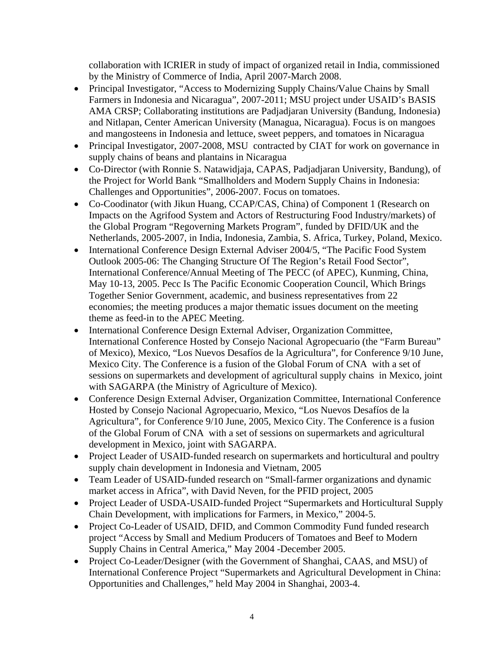collaboration with ICRIER in study of impact of organized retail in India, commissioned by the Ministry of Commerce of India, April 2007-March 2008.

- Principal Investigator, "Access to Modernizing Supply Chains/Value Chains by Small Farmers in Indonesia and Nicaragua", 2007-2011; MSU project under USAID's BASIS AMA CRSP; Collaborating institutions are Padjadjaran University (Bandung, Indonesia) and Nitlapan, Center American University (Managua, Nicaragua). Focus is on mangoes and mangosteens in Indonesia and lettuce, sweet peppers, and tomatoes in Nicaragua
- Principal Investigator, 2007-2008, MSU contracted by CIAT for work on governance in supply chains of beans and plantains in Nicaragua
- Co-Director (with Ronnie S. Natawidjaja, CAPAS, Padjadjaran University, Bandung), of the Project for World Bank "Smallholders and Modern Supply Chains in Indonesia: Challenges and Opportunities", 2006-2007. Focus on tomatoes.
- Co-Coodinator (with Jikun Huang, CCAP/CAS, China) of Component 1 (Research on Impacts on the Agrifood System and Actors of Restructuring Food Industry/markets) of the Global Program "Regoverning Markets Program", funded by DFID/UK and the Netherlands, 2005-2007, in India, Indonesia, Zambia, S. Africa, Turkey, Poland, Mexico.
- International Conference Design External Adviser 2004/5, "The Pacific Food System Outlook 2005-06: The Changing Structure Of The Region's Retail Food Sector", International Conference/Annual Meeting of The PECC (of APEC), Kunming, China, May 10-13, 2005. Pecc Is The Pacific Economic Cooperation Council, Which Brings Together Senior Government, academic, and business representatives from 22 economies; the meeting produces a major thematic issues document on the meeting theme as feed-in to the APEC Meeting.
- International Conference Design External Adviser, Organization Committee, International Conference Hosted by Consejo Nacional Agropecuario (the "Farm Bureau" of Mexico), Mexico, "Los Nuevos Desafíos de la Agricultura", for Conference 9/10 June, Mexico City. The Conference is a fusion of the Global Forum of CNA with a set of sessions on supermarkets and development of agricultural supply chains in Mexico, joint with SAGARPA (the Ministry of Agriculture of Mexico).
- Conference Design External Adviser, Organization Committee, International Conference Hosted by Consejo Nacional Agropecuario, Mexico, "Los Nuevos Desafíos de la Agricultura", for Conference 9/10 June, 2005, Mexico City. The Conference is a fusion of the Global Forum of CNA with a set of sessions on supermarkets and agricultural development in Mexico, joint with SAGARPA.
- Project Leader of USAID-funded research on supermarkets and horticultural and poultry supply chain development in Indonesia and Vietnam, 2005
- Team Leader of USAID-funded research on "Small-farmer organizations and dynamic market access in Africa", with David Neven, for the PFID project, 2005
- Project Leader of USDA-USAID-funded Project "Supermarkets and Horticultural Supply Chain Development, with implications for Farmers, in Mexico," 2004-5.
- Project Co-Leader of USAID, DFID, and Common Commodity Fund funded research project "Access by Small and Medium Producers of Tomatoes and Beef to Modern Supply Chains in Central America," May 2004 -December 2005.
- Project Co-Leader/Designer (with the Government of Shanghai, CAAS, and MSU) of International Conference Project "Supermarkets and Agricultural Development in China: Opportunities and Challenges," held May 2004 in Shanghai, 2003-4.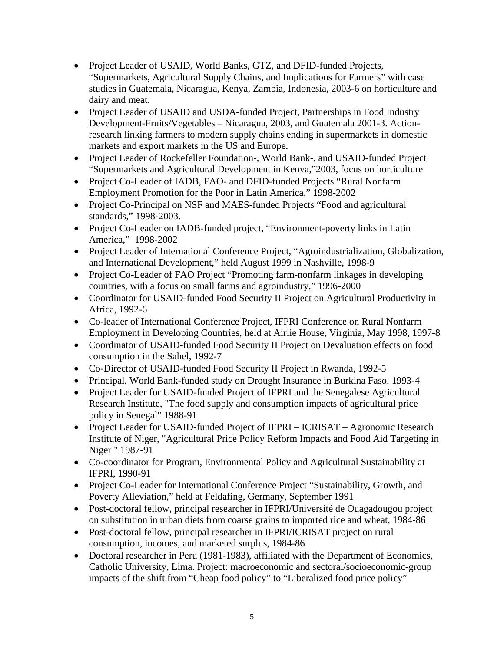- Project Leader of USAID, World Banks, GTZ, and DFID-funded Projects, "Supermarkets, Agricultural Supply Chains, and Implications for Farmers" with case studies in Guatemala, Nicaragua, Kenya, Zambia, Indonesia, 2003-6 on horticulture and dairy and meat.
- Project Leader of USAID and USDA-funded Project, Partnerships in Food Industry Development-Fruits/Vegetables – Nicaragua, 2003, and Guatemala 2001-3. Actionresearch linking farmers to modern supply chains ending in supermarkets in domestic markets and export markets in the US and Europe.
- Project Leader of Rockefeller Foundation-, World Bank-, and USAID-funded Project "Supermarkets and Agricultural Development in Kenya,"2003, focus on horticulture
- Project Co-Leader of IADB, FAO- and DFID-funded Projects "Rural Nonfarm" Employment Promotion for the Poor in Latin America," 1998-2002
- Project Co-Principal on NSF and MAES-funded Projects "Food and agricultural standards," 1998-2003.
- Project Co-Leader on IADB-funded project, "Environment-poverty links in Latin America," 1998-2002
- Project Leader of International Conference Project, "Agroindustrialization, Globalization, and International Development," held August 1999 in Nashville, 1998-9
- Project Co-Leader of FAO Project "Promoting farm-nonfarm linkages in developing countries, with a focus on small farms and agroindustry," 1996-2000
- Coordinator for USAID-funded Food Security II Project on Agricultural Productivity in Africa, 1992-6
- Co-leader of International Conference Project, IFPRI Conference on Rural Nonfarm Employment in Developing Countries, held at Airlie House, Virginia, May 1998, 1997-8
- Coordinator of USAID-funded Food Security II Project on Devaluation effects on food consumption in the Sahel, 1992-7
- Co-Director of USAID-funded Food Security II Project in Rwanda, 1992-5
- Principal, World Bank-funded study on Drought Insurance in Burkina Faso, 1993-4
- Project Leader for USAID-funded Project of IFPRI and the Senegalese Agricultural Research Institute, "The food supply and consumption impacts of agricultural price policy in Senegal" 1988-91
- Project Leader for USAID-funded Project of IFPRI ICRISAT Agronomic Research Institute of Niger, "Agricultural Price Policy Reform Impacts and Food Aid Targeting in Niger " 1987-91
- Co-coordinator for Program, Environmental Policy and Agricultural Sustainability at IFPRI, 1990-91
- Project Co-Leader for International Conference Project "Sustainability, Growth, and Poverty Alleviation," held at Feldafing, Germany, September 1991
- Post-doctoral fellow, principal researcher in IFPRI/Université de Ouagadougou project on substitution in urban diets from coarse grains to imported rice and wheat, 1984-86
- Post-doctoral fellow, principal researcher in IFPRI/ICRISAT project on rural consumption, incomes, and marketed surplus, 1984-86
- Doctoral researcher in Peru (1981-1983), affiliated with the Department of Economics, Catholic University, Lima. Project: macroeconomic and sectoral/socioeconomic-group impacts of the shift from "Cheap food policy" to "Liberalized food price policy"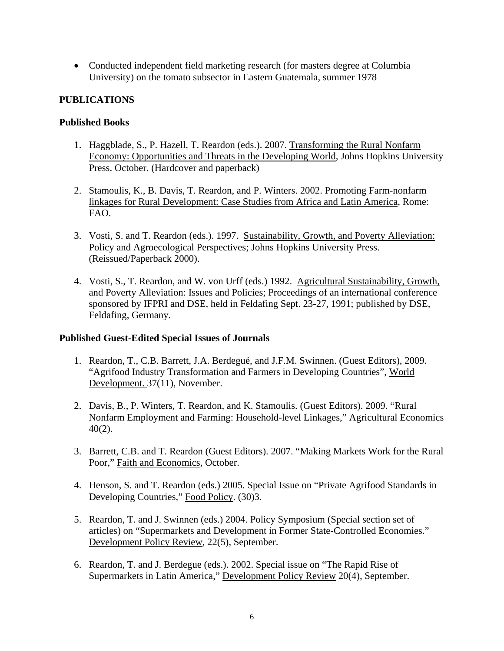• Conducted independent field marketing research (for masters degree at Columbia University) on the tomato subsector in Eastern Guatemala, summer 1978

### **PUBLICATIONS**

#### **Published Books**

- 1. Haggblade, S., P. Hazell, T. Reardon (eds.). 2007. Transforming the Rural Nonfarm Economy: Opportunities and Threats in the Developing World, Johns Hopkins University Press. October. (Hardcover and paperback)
- 2. Stamoulis, K., B. Davis, T. Reardon, and P. Winters. 2002. Promoting Farm-nonfarm linkages for Rural Development: Case Studies from Africa and Latin America, Rome: FAO.
- 3. Vosti, S. and T. Reardon (eds.). 1997. Sustainability, Growth, and Poverty Alleviation: Policy and Agroecological Perspectives; Johns Hopkins University Press. (Reissued/Paperback 2000).
- 4. Vosti, S., T. Reardon, and W. von Urff (eds.) 1992. Agricultural Sustainability, Growth, and Poverty Alleviation: Issues and Policies; Proceedings of an international conference sponsored by IFPRI and DSE, held in Feldafing Sept. 23-27, 1991; published by DSE, Feldafing, Germany.

### **Published Guest-Edited Special Issues of Journals**

- 1. Reardon, T., C.B. Barrett, J.A. Berdegué, and J.F.M. Swinnen. (Guest Editors), 2009. "Agrifood Industry Transformation and Farmers in Developing Countries", World Development. 37(11), November.
- 2. Davis, B., P. Winters, T. Reardon, and K. Stamoulis. (Guest Editors). 2009. "Rural Nonfarm Employment and Farming: Household-level Linkages," Agricultural Economics 40(2).
- 3. Barrett, C.B. and T. Reardon (Guest Editors). 2007. "Making Markets Work for the Rural Poor," Faith and Economics, October.
- 4. Henson, S. and T. Reardon (eds.) 2005. Special Issue on "Private Agrifood Standards in Developing Countries," Food Policy. (30)3.
- 5. Reardon, T. and J. Swinnen (eds.) 2004. Policy Symposium (Special section set of articles) on "Supermarkets and Development in Former State-Controlled Economies." Development Policy Review, 22(5), September.
- 6. Reardon, T. and J. Berdegue (eds.). 2002. Special issue on "The Rapid Rise of Supermarkets in Latin America," Development Policy Review 20(4), September.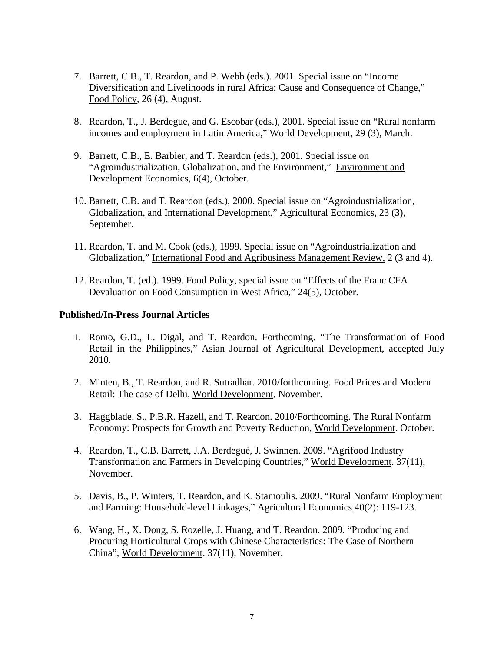- 7. Barrett, C.B., T. Reardon, and P. Webb (eds.). 2001. Special issue on "Income Diversification and Livelihoods in rural Africa: Cause and Consequence of Change," Food Policy, 26 (4), August.
- 8. Reardon, T., J. Berdegue, and G. Escobar (eds.), 2001. Special issue on "Rural nonfarm incomes and employment in Latin America," World Development, 29 (3), March.
- 9. Barrett, C.B., E. Barbier, and T. Reardon (eds.), 2001. Special issue on "Agroindustrialization, Globalization, and the Environment," Environment and Development Economics, 6(4), October.
- 10. Barrett, C.B. and T. Reardon (eds.), 2000. Special issue on "Agroindustrialization, Globalization, and International Development," Agricultural Economics, 23 (3), September.
- 11. Reardon, T. and M. Cook (eds.), 1999. Special issue on "Agroindustrialization and Globalization," International Food and Agribusiness Management Review, 2 (3 and 4).
- 12. Reardon, T. (ed.). 1999. Food Policy, special issue on "Effects of the Franc CFA Devaluation on Food Consumption in West Africa," 24(5), October.

#### **Published/In-Press Journal Articles**

- 1. Romo, G.D., L. Digal, and T. Reardon. Forthcoming. "The Transformation of Food Retail in the Philippines," Asian Journal of Agricultural Development, accepted July 2010.
- 2. Minten, B., T. Reardon, and R. Sutradhar. 2010/forthcoming. Food Prices and Modern Retail: The case of Delhi, World Development, November.
- 3. Haggblade, S., P.B.R. Hazell, and T. Reardon. 2010/Forthcoming. The Rural Nonfarm Economy: Prospects for Growth and Poverty Reduction, World Development. October.
- 4. Reardon, T., C.B. Barrett, J.A. Berdegué, J. Swinnen. 2009. "Agrifood Industry Transformation and Farmers in Developing Countries," World Development. 37(11), November.
- 5. Davis, B., P. Winters, T. Reardon, and K. Stamoulis. 2009. "Rural Nonfarm Employment and Farming: Household-level Linkages," Agricultural Economics 40(2): 119-123.
- 6. Wang, H., X. Dong, S. Rozelle, J. Huang, and T. Reardon. 2009. "Producing and Procuring Horticultural Crops with Chinese Characteristics: The Case of Northern China", World Development. 37(11), November.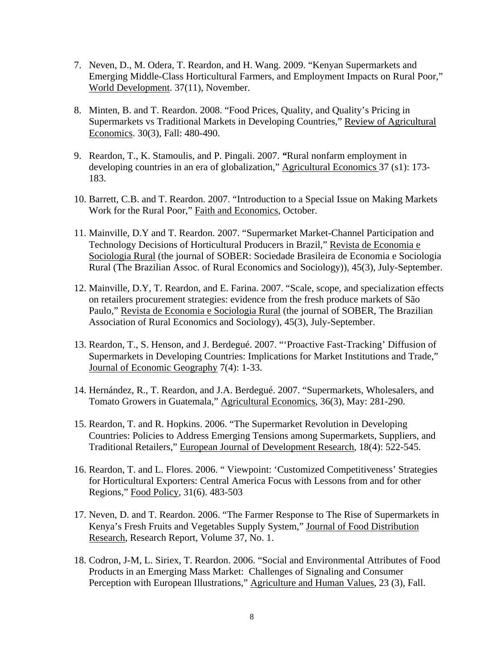- 7. Neven, D., M. Odera, T. Reardon, and H. Wang. 2009. "Kenyan Supermarkets and Emerging Middle-Class Horticultural Farmers, and Employment Impacts on Rural Poor," World Development. 37(11), November.
- 8. Minten, B. and T. Reardon. 2008. "Food Prices, Quality, and Quality's Pricing in Supermarkets vs Traditional Markets in Developing Countries," Review of Agricultural Economics. 30(3), Fall: 480-490.
- 9. Reardon, T., K. Stamoulis, and P. Pingali. 2007. *"*Rural nonfarm employment in developing countries in an era of globalization," Agricultural Economics 37 (s1): 173- 183.
- 10. Barrett, C.B. and T. Reardon. 2007. "Introduction to a Special Issue on Making Markets Work for the Rural Poor," Faith and Economics, October.
- 11. Mainville, D.Y and T. Reardon. 2007. "Supermarket Market-Channel Participation and Technology Decisions of Horticultural Producers in Brazil," Revista de Economia e Sociologia Rural (the journal of SOBER: Sociedade Brasileira de Economia e Sociologia Rural (The Brazilian Assoc. of Rural Economics and Sociology)), 45(3), July-September.
- 12. Mainville, D.Y, T. Reardon, and E. Farina. 2007. "Scale, scope, and specialization effects on retailers procurement strategies: evidence from the fresh produce markets of São Paulo," Revista de Economia e Sociologia Rural (the journal of SOBER, The Brazilian Association of Rural Economics and Sociology), 45(3), July-September.
- 13. Reardon, T., S. Henson, and J. Berdegué. 2007. "'Proactive Fast-Tracking' Diffusion of Supermarkets in Developing Countries: Implications for Market Institutions and Trade," Journal of Economic Geography 7(4): 1-33.
- 14. Hernández, R., T. Reardon, and J.A. Berdegué. 2007. "Supermarkets, Wholesalers, and Tomato Growers in Guatemala," Agricultural Economics, 36(3), May: 281-290.
- 15. Reardon, T. and R. Hopkins. 2006. "The Supermarket Revolution in Developing Countries: Policies to Address Emerging Tensions among Supermarkets, Suppliers, and Traditional Retailers," European Journal of Development Research*,* 18(4): 522-545.
- 16. Reardon, T. and L. Flores. 2006. " Viewpoint: 'Customized Competitiveness' Strategies for Horticultural Exporters: Central America Focus with Lessons from and for other Regions," Food Policy, 31(6). 483-503
- 17. Neven, D. and T. Reardon. 2006. "The Farmer Response to The Rise of Supermarkets in Kenya's Fresh Fruits and Vegetables Supply System," Journal of Food Distribution Research, Research Report, Volume 37, No. 1.
- 18. Codron, J-M, L. Siriex, T. Reardon. 2006. "Social and Environmental Attributes of Food Products in an Emerging Mass Market: Challenges of Signaling and Consumer Perception with European Illustrations," Agriculture and Human Values, 23 (3), Fall.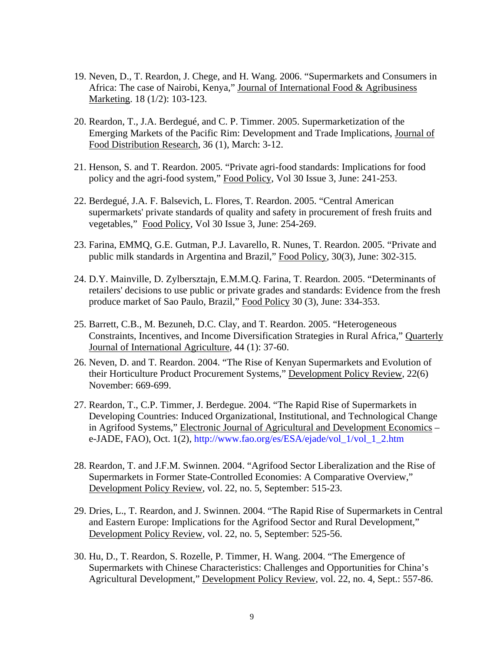- 19. Neven, D., T. Reardon, J. Chege, and H. Wang. 2006. "Supermarkets and Consumers in Africa: The case of Nairobi, Kenya," Journal of International Food & Agribusiness Marketing. 18 (1/2): 103-123.
- 20. Reardon, T., J.A. Berdegué, and C. P. Timmer. 2005. Supermarketization of the Emerging Markets of the Pacific Rim: Development and Trade Implications, Journal of Food Distribution Research, 36 (1), March: 3-12.
- 21. Henson, S. and T. Reardon. 2005. "Private agri-food standards: Implications for food policy and the agri-food system," Food Policy, Vol 30 Issue 3, June: 241-253.
- 22. Berdegué, J.A. F. Balsevich, L. Flores, T. Reardon. 2005. "Central American supermarkets' private standards of quality and safety in procurement of fresh fruits and vegetables," Food Policy, Vol 30 Issue 3, June: 254-269.
- 23. Farina, EMMQ, G.E. Gutman, P.J. Lavarello, R. Nunes, T. Reardon. 2005. "Private and public milk standards in Argentina and Brazil," Food Policy, 30(3), June: 302-315.
- 24. D.Y. Mainville, D. Zylbersztajn, E.M.M.Q. Farina, T. Reardon. 2005. "Determinants of retailers' decisions to use public or private grades and standards: Evidence from the fresh produce market of Sao Paulo, Brazil," Food Policy 30 (3), June: 334-353.
- 25. Barrett, C.B., M. Bezuneh, D.C. Clay, and T. Reardon. 2005. "Heterogeneous Constraints, Incentives, and Income Diversification Strategies in Rural Africa," Quarterly Journal of International Agriculture, 44 (1): 37-60.
- 26. Neven, D. and T. Reardon. 2004. "The Rise of Kenyan Supermarkets and Evolution of their Horticulture Product Procurement Systems," Development Policy Review, 22(6) November: 669-699.
- 27. Reardon, T., C.P. Timmer, J. Berdegue. 2004. "The Rapid Rise of Supermarkets in Developing Countries: Induced Organizational, Institutional, and Technological Change in Agrifood Systems," Electronic Journal of Agricultural and Development Economics – e-JADE, FAO), Oct. 1(2), http://www.fao.org/es/ESA/ejade/vol\_1/vol\_1\_2.htm
- 28. Reardon, T. and J.F.M. Swinnen. 2004. "Agrifood Sector Liberalization and the Rise of Supermarkets in Former State-Controlled Economies: A Comparative Overview," Development Policy Review, vol. 22, no. 5, September: 515-23.
- 29. Dries, L., T. Reardon, and J. Swinnen. 2004. "The Rapid Rise of Supermarkets in Central and Eastern Europe: Implications for the Agrifood Sector and Rural Development," Development Policy Review, vol. 22, no. 5, September: 525-56.
- 30. Hu, D., T. Reardon, S. Rozelle, P. Timmer, H. Wang. 2004. "The Emergence of Supermarkets with Chinese Characteristics: Challenges and Opportunities for China's Agricultural Development," Development Policy Review, vol. 22, no. 4, Sept.: 557-86.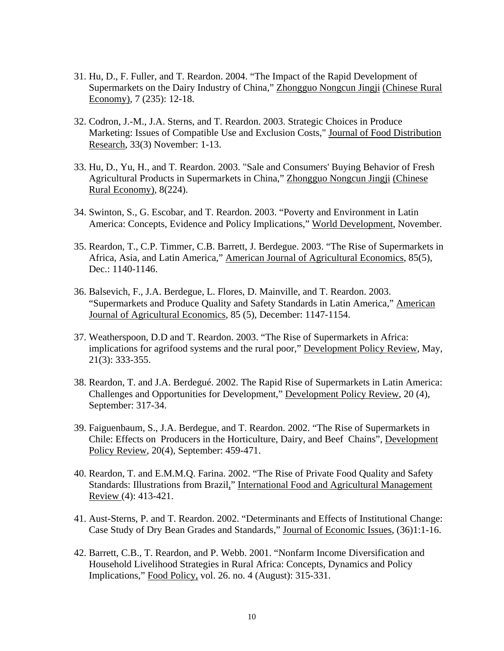- 31. Hu, D., F. Fuller, and T. Reardon. 2004. "The Impact of the Rapid Development of Supermarkets on the Dairy Industry of China," Zhongguo Nongcun Jingji (Chinese Rural Economy), 7 (235): 12-18.
- 32. Codron, J.-M., J.A. Sterns, and T. Reardon. 2003. Strategic Choices in Produce Marketing: Issues of Compatible Use and Exclusion Costs," Journal of Food Distribution Research, 33(3) November: 1-13.
- 33. Hu, D., Yu, H., and T. Reardon. 2003. "Sale and Consumers' Buying Behavior of Fresh Agricultural Products in Supermarkets in China," Zhongguo Nongcun Jingji (Chinese Rural Economy), 8(224).
- 34. Swinton, S., G. Escobar, and T. Reardon. 2003. "Poverty and Environment in Latin America: Concepts, Evidence and Policy Implications," World Development, November.
- 35. Reardon, T., C.P. Timmer, C.B. Barrett, J. Berdegue. 2003. "The Rise of Supermarkets in Africa, Asia, and Latin America," American Journal of Agricultural Economics, 85(5), Dec.: 1140-1146.
- 36. Balsevich, F., J.A. Berdegue, L. Flores, D. Mainville, and T. Reardon. 2003. "Supermarkets and Produce Quality and Safety Standards in Latin America," American Journal of Agricultural Economics, 85 (5), December: 1147-1154.
- 37. Weatherspoon, D.D and T. Reardon. 2003. "The Rise of Supermarkets in Africa: implications for agrifood systems and the rural poor," Development Policy Review, May, 21(3): 333-355.
- 38. Reardon, T. and J.A. Berdegué. 2002. The Rapid Rise of Supermarkets in Latin America: Challenges and Opportunities for Development," Development Policy Review, 20 (4), September: 317-34.
- 39. Faiguenbaum, S., J.A. Berdegue, and T. Reardon. 2002. "The Rise of Supermarkets in Chile: Effects on Producers in the Horticulture, Dairy, and Beef Chains", Development Policy Review, 20(4), September: 459-471.
- 40. Reardon, T. and E.M.M.Q. Farina. 2002. "The Rise of Private Food Quality and Safety Standards: Illustrations from Brazil," International Food and Agricultural Management Review (4): 413-421.
- 41. Aust-Sterns, P. and T. Reardon. 2002. "Determinants and Effects of Institutional Change: Case Study of Dry Bean Grades and Standards," Journal of Economic Issues, (36)1:1-16.
- 42. Barrett, C.B., T. Reardon, and P. Webb. 2001. "Nonfarm Income Diversification and Household Livelihood Strategies in Rural Africa: Concepts, Dynamics and Policy Implications," Food Policy, vol. 26. no. 4 (August): 315-331.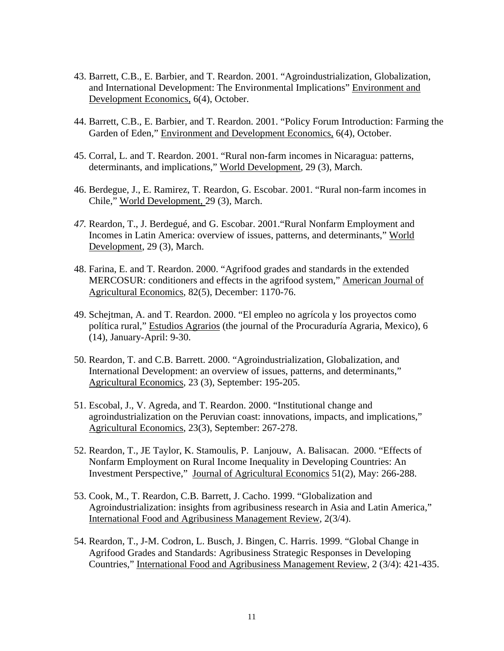- 43. Barrett, C.B., E. Barbier, and T. Reardon. 2001. "Agroindustrialization, Globalization, and International Development: The Environmental Implications" Environment and Development Economics, 6(4), October.
- 44. Barrett, C.B., E. Barbier, and T. Reardon. 2001. "Policy Forum Introduction: Farming the Garden of Eden," Environment and Development Economics, 6(4), October.
- 45. Corral, L. and T. Reardon. 2001. "Rural non-farm incomes in Nicaragua: patterns, determinants, and implications," World Development, 29 (3), March.
- 46. Berdegue, J., E. Ramirez, T. Reardon, G. Escobar. 2001. "Rural non-farm incomes in Chile," World Development, 29 (3), March.
- *47.* Reardon, T., J. Berdegué, and G. Escobar. 2001."Rural Nonfarm Employment and Incomes in Latin America: overview of issues, patterns, and determinants," World Development, 29 (3), March.
- 48. Farina, E. and T. Reardon. 2000. "Agrifood grades and standards in the extended MERCOSUR: conditioners and effects in the agrifood system," American Journal of Agricultural Economics, 82(5), December: 1170-76.
- 49. Schejtman, A. and T. Reardon. 2000. "El empleo no agrícola y los proyectos como política rural," Estudios Agrarios (the journal of the Procuraduría Agraria, Mexico), 6 (14), January-April: 9-30.
- 50. Reardon, T. and C.B. Barrett. 2000. "Agroindustrialization, Globalization, and International Development: an overview of issues, patterns, and determinants," Agricultural Economics, 23 (3), September: 195-205.
- 51. Escobal, J., V. Agreda, and T. Reardon. 2000. "Institutional change and agroindustrialization on the Peruvian coast: innovations, impacts, and implications," Agricultural Economics, 23(3), September: 267-278.
- 52. Reardon, T., JE Taylor, K. Stamoulis, P. Lanjouw, A. Balisacan. 2000. "Effects of Nonfarm Employment on Rural Income Inequality in Developing Countries: An Investment Perspective," Journal of Agricultural Economics 51(2), May: 266-288.
- 53. Cook, M., T. Reardon, C.B. Barrett, J. Cacho. 1999. "Globalization and Agroindustrialization: insights from agribusiness research in Asia and Latin America," International Food and Agribusiness Management Review, 2(3/4).
- 54. Reardon, T., J-M. Codron, L. Busch, J. Bingen, C. Harris. 1999. "Global Change in Agrifood Grades and Standards: Agribusiness Strategic Responses in Developing Countries," International Food and Agribusiness Management Review, 2 (3/4): 421-435.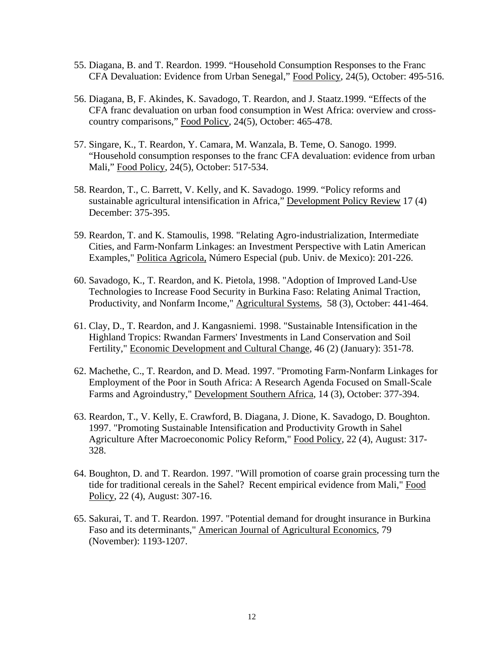- 55. Diagana, B. and T. Reardon. 1999. "Household Consumption Responses to the Franc CFA Devaluation: Evidence from Urban Senegal," Food Policy, 24(5), October: 495-516.
- 56. Diagana, B, F. Akindes, K. Savadogo, T. Reardon, and J. Staatz.1999. "Effects of the CFA franc devaluation on urban food consumption in West Africa: overview and crosscountry comparisons," Food Policy, 24(5), October: 465-478.
- 57. Singare, K., T. Reardon, Y. Camara, M. Wanzala, B. Teme, O. Sanogo. 1999. "Household consumption responses to the franc CFA devaluation: evidence from urban Mali," Food Policy, 24(5), October: 517-534.
- 58. Reardon, T., C. Barrett, V. Kelly, and K. Savadogo. 1999. "Policy reforms and sustainable agricultural intensification in Africa," Development Policy Review 17 (4) December: 375-395.
- 59. Reardon, T. and K. Stamoulis, 1998. "Relating Agro-industrialization, Intermediate Cities, and Farm-Nonfarm Linkages: an Investment Perspective with Latin American Examples," Politica Agricola, Número Especial (pub. Univ. de Mexico): 201-226.
- 60. Savadogo, K., T. Reardon, and K. Pietola, 1998. "Adoption of Improved Land-Use Technologies to Increase Food Security in Burkina Faso: Relating Animal Traction, Productivity, and Nonfarm Income," Agricultural Systems, 58 (3), October: 441-464.
- 61. Clay, D., T. Reardon, and J. Kangasniemi. 1998. "Sustainable Intensification in the Highland Tropics: Rwandan Farmers' Investments in Land Conservation and Soil Fertility," Economic Development and Cultural Change, 46 (2) (January): 351-78.
- 62. Machethe, C., T. Reardon, and D. Mead. 1997. "Promoting Farm-Nonfarm Linkages for Employment of the Poor in South Africa: A Research Agenda Focused on Small-Scale Farms and Agroindustry," Development Southern Africa, 14 (3), October: 377-394.
- 63. Reardon, T., V. Kelly, E. Crawford, B. Diagana, J. Dione, K. Savadogo, D. Boughton. 1997. "Promoting Sustainable Intensification and Productivity Growth in Sahel Agriculture After Macroeconomic Policy Reform," Food Policy, 22 (4), August: 317- 328.
- 64. Boughton, D. and T. Reardon. 1997. "Will promotion of coarse grain processing turn the tide for traditional cereals in the Sahel? Recent empirical evidence from Mali," Food Policy, 22 (4), August: 307-16.
- 65. Sakurai, T. and T. Reardon. 1997. "Potential demand for drought insurance in Burkina Faso and its determinants," American Journal of Agricultural Economics, 79 (November): 1193-1207.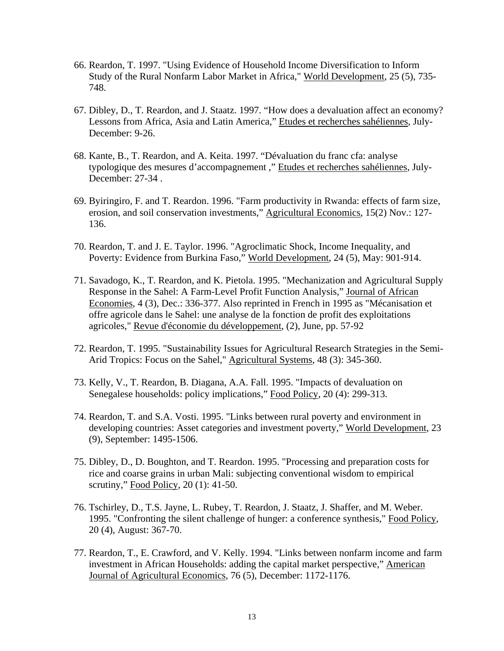- 66. Reardon, T. 1997. "Using Evidence of Household Income Diversification to Inform Study of the Rural Nonfarm Labor Market in Africa," World Development, 25 (5), 735- 748.
- 67. Dibley, D., T. Reardon, and J. Staatz. 1997. "How does a devaluation affect an economy? Lessons from Africa, Asia and Latin America," Etudes et recherches sahéliennes, July-December: 9-26.
- 68. Kante, B., T. Reardon, and A. Keita. 1997. "Dévaluation du franc cfa: analyse typologique des mesures d'accompagnement ," Etudes et recherches sahéliennes, July-December: 27-34 .
- 69. Byiringiro, F. and T. Reardon. 1996. "Farm productivity in Rwanda: effects of farm size, erosion, and soil conservation investments," Agricultural Economics, 15(2) Nov.: 127- 136.
- 70. Reardon, T. and J. E. Taylor. 1996. "Agroclimatic Shock, Income Inequality, and Poverty: Evidence from Burkina Faso," World Development, 24 (5), May: 901-914.
- 71. Savadogo, K., T. Reardon, and K. Pietola. 1995. "Mechanization and Agricultural Supply Response in the Sahel: A Farm-Level Profit Function Analysis," Journal of African Economies, 4 (3), Dec.: 336-377. Also reprinted in French in 1995 as "Mécanisation et offre agricole dans le Sahel: une analyse de la fonction de profit des exploitations agricoles," Revue d'économie du développement, (2), June, pp. 57-92
- 72. Reardon, T. 1995. "Sustainability Issues for Agricultural Research Strategies in the Semi-Arid Tropics: Focus on the Sahel," Agricultural Systems, 48 (3): 345-360.
- 73. Kelly, V., T. Reardon, B. Diagana, A.A. Fall. 1995. "Impacts of devaluation on Senegalese households: policy implications," Food Policy, 20 (4): 299-313.
- 74. Reardon, T. and S.A. Vosti. 1995. "Links between rural poverty and environment in developing countries: Asset categories and investment poverty," World Development, 23 (9), September: 1495-1506.
- 75. Dibley, D., D. Boughton, and T. Reardon. 1995. "Processing and preparation costs for rice and coarse grains in urban Mali: subjecting conventional wisdom to empirical scrutiny," Food Policy, 20 (1): 41-50.
- 76. Tschirley, D., T.S. Jayne, L. Rubey, T. Reardon, J. Staatz, J. Shaffer, and M. Weber. 1995. "Confronting the silent challenge of hunger: a conference synthesis," Food Policy, 20 (4), August: 367-70.
- 77. Reardon, T., E. Crawford, and V. Kelly. 1994. "Links between nonfarm income and farm investment in African Households: adding the capital market perspective," American Journal of Agricultural Economics, 76 (5), December: 1172-1176.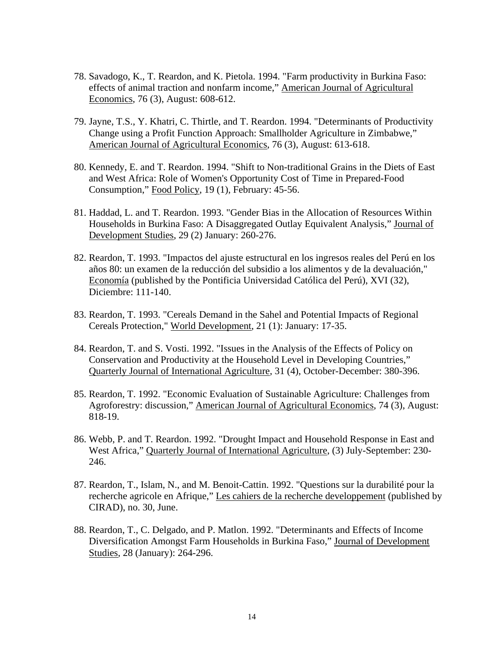- 78. Savadogo, K., T. Reardon, and K. Pietola. 1994. "Farm productivity in Burkina Faso: effects of animal traction and nonfarm income," American Journal of Agricultural Economics, 76 (3), August: 608-612.
- 79. Jayne, T.S., Y. Khatri, C. Thirtle, and T. Reardon. 1994. "Determinants of Productivity Change using a Profit Function Approach: Smallholder Agriculture in Zimbabwe," American Journal of Agricultural Economics, 76 (3), August: 613-618.
- 80. Kennedy, E. and T. Reardon. 1994. "Shift to Non-traditional Grains in the Diets of East and West Africa: Role of Women's Opportunity Cost of Time in Prepared-Food Consumption," Food Policy, 19 (1), February: 45-56.
- 81. Haddad, L. and T. Reardon. 1993. "Gender Bias in the Allocation of Resources Within Households in Burkina Faso: A Disaggregated Outlay Equivalent Analysis," Journal of Development Studies, 29 (2) January: 260-276.
- 82. Reardon, T. 1993. "Impactos del ajuste estructural en los ingresos reales del Perú en los años 80: un examen de la reducción del subsidio a los alimentos y de la devaluación," Economía (published by the Pontificia Universidad Católica del Perú), XVI (32), Diciembre: 111-140.
- 83. Reardon, T. 1993. "Cereals Demand in the Sahel and Potential Impacts of Regional Cereals Protection," World Development, 21 (1): January: 17-35.
- 84. Reardon, T. and S. Vosti. 1992. "Issues in the Analysis of the Effects of Policy on Conservation and Productivity at the Household Level in Developing Countries," Quarterly Journal of International Agriculture, 31 (4), October-December: 380-396.
- 85. Reardon, T. 1992. "Economic Evaluation of Sustainable Agriculture: Challenges from Agroforestry: discussion," American Journal of Agricultural Economics, 74 (3), August: 818-19.
- 86. Webb, P. and T. Reardon. 1992. "Drought Impact and Household Response in East and West Africa," Quarterly Journal of International Agriculture, (3) July-September: 230- 246.
- 87. Reardon, T., Islam, N., and M. Benoit-Cattin. 1992. "Questions sur la durabilité pour la recherche agricole en Afrique," Les cahiers de la recherche developpement (published by CIRAD), no. 30, June.
- 88. Reardon, T., C. Delgado, and P. Matlon. 1992. "Determinants and Effects of Income Diversification Amongst Farm Households in Burkina Faso," Journal of Development Studies, 28 (January): 264-296.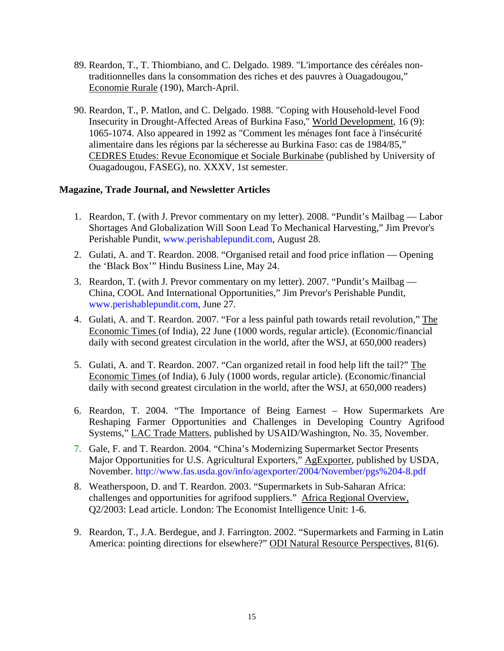- 89. Reardon, T., T. Thiombiano, and C. Delgado. 1989. "L'importance des céréales nontraditionnelles dans la consommation des riches et des pauvres à Ouagadougou," Economie Rurale (190), March-April.
- 90. Reardon, T., P. Matlon, and C. Delgado. 1988. "Coping with Household-level Food Insecurity in Drought-Affected Areas of Burkina Faso," World Development, 16 (9): 1065-1074. Also appeared in 1992 as "Comment les ménages font face à l'insécurité alimentaire dans les régions par la sécheresse au Burkina Faso: cas de 1984/85," CEDRES Etudes: Revue Economique et Sociale Burkinabe (published by University of Ouagadougou, FASEG), no. XXXV, 1st semester.

#### **Magazine, Trade Journal, and Newsletter Articles**

- 1. Reardon, T. (with J. Prevor commentary on my letter). 2008. "Pundit's Mailbag Labor Shortages And Globalization Will Soon Lead To Mechanical Harvesting," Jim Prevor's Perishable Pundit, www.perishablepundit.com, August 28.
- 2. Gulati, A. and T. Reardon. 2008. "Organised retail and food price inflation Opening the 'Black Box'" Hindu Business Line, May 24.
- 3. Reardon, T. (with J. Prevor commentary on my letter). 2007. "Pundit's Mailbag China, COOL And International Opportunities," Jim Prevor's Perishable Pundit, www.perishablepundit.com, June 27.
- 4. Gulati, A. and T. Reardon. 2007. "For a less painful path towards retail revolution," The Economic Times (of India), 22 June (1000 words, regular article). (Economic/financial daily with second greatest circulation in the world, after the WSJ, at 650,000 readers)
- 5. Gulati, A. and T. Reardon. 2007. "Can organized retail in food help lift the tail?" The Economic Times (of India), 6 July (1000 words, regular article). (Economic/financial daily with second greatest circulation in the world, after the WSJ, at 650,000 readers)
- 6. Reardon, T. 2004. "The Importance of Being Earnest How Supermarkets Are Reshaping Farmer Opportunities and Challenges in Developing Country Agrifood Systems," LAC Trade Matters, published by USAID/Washington, No. 35, November.
- 7. Gale, F. and T. Reardon. 2004. "China's Modernizing Supermarket Sector Presents Major Opportunities for U.S. Agricultural Exporters," AgExporter, published by USDA, November. http://www.fas.usda.gov/info/agexporter/2004/November/pgs%204-8.pdf
- 8. Weatherspoon, D. and T. Reardon. 2003. "Supermarkets in Sub-Saharan Africa: challenges and opportunities for agrifood suppliers." Africa Regional Overview, Q2/2003: Lead article. London: The Economist Intelligence Unit: 1-6.
- 9. Reardon, T., J.A. Berdegue, and J. Farrington. 2002. "Supermarkets and Farming in Latin America: pointing directions for elsewhere?" ODI Natural Resource Perspectives, 81(6).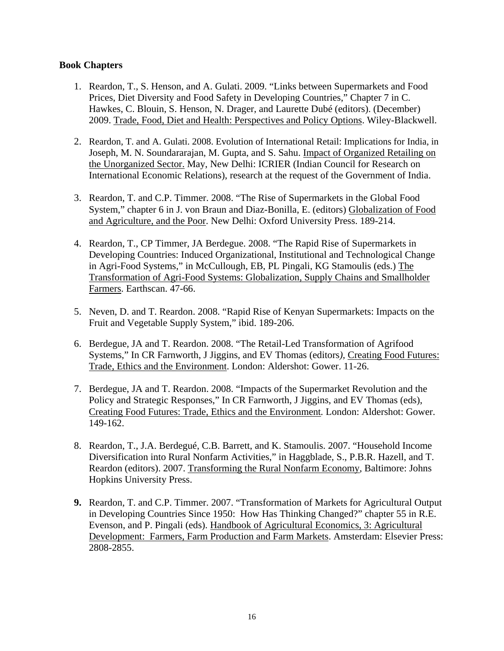#### **Book Chapters**

- 1. Reardon, T., S. Henson, and A. Gulati. 2009. "Links between Supermarkets and Food Prices, Diet Diversity and Food Safety in Developing Countries," Chapter 7 in C. Hawkes, C. Blouin, S. Henson, N. Drager, and Laurette Dubé (editors). (December) 2009. Trade, Food, Diet and Health: Perspectives and Policy Options. Wiley-Blackwell.
- 2. Reardon, T. and A. Gulati. 2008. Evolution of International Retail: Implications for India, in Joseph, M. N. Soundararajan, M. Gupta, and S. Sahu. Impact of Organized Retailing on the Unorganized Sector. May, New Delhi: ICRIER (Indian Council for Research on International Economic Relations), research at the request of the Government of India.
- 3. Reardon, T. and C.P. Timmer. 2008. "The Rise of Supermarkets in the Global Food System," chapter 6 in J. von Braun and Diaz-Bonilla, E. (editors) Globalization of Food and Agriculture, and the Poor. New Delhi: Oxford University Press. 189-214.
- 4. Reardon, T., CP Timmer, JA Berdegue. 2008. "The Rapid Rise of Supermarkets in Developing Countries: Induced Organizational, Institutional and Technological Change in Agri-Food Systems," in McCullough, EB, PL Pingali, KG Stamoulis (eds.) The Transformation of Agri-Food Systems: Globalization, Supply Chains and Smallholder Farmers. Earthscan. 47-66.
- 5. Neven, D. and T. Reardon. 2008. "Rapid Rise of Kenyan Supermarkets: Impacts on the Fruit and Vegetable Supply System," ibid. 189-206.
- 6. Berdegue, JA and T. Reardon. 2008. "The Retail-Led Transformation of Agrifood Systems," In CR Farnworth, J Jiggins, and EV Thomas (editors*),* Creating Food Futures: Trade, Ethics and the Environment. London: Aldershot: Gower. 11-26.
- 7. Berdegue, JA and T. Reardon. 2008. "Impacts of the Supermarket Revolution and the Policy and Strategic Responses," In CR Farnworth, J Jiggins, and EV Thomas (eds), Creating Food Futures: Trade, Ethics and the Environment*.* London: Aldershot: Gower. 149-162.
- 8. Reardon, T., J.A. Berdegué, C.B. Barrett, and K. Stamoulis. 2007. "Household Income Diversification into Rural Nonfarm Activities," in Haggblade, S., P.B.R. Hazell, and T. Reardon (editors). 2007. Transforming the Rural Nonfarm Economy, Baltimore: Johns Hopkins University Press.
- **9.** Reardon, T. and C.P. Timmer. 2007. "Transformation of Markets for Agricultural Output in Developing Countries Since 1950: How Has Thinking Changed?" chapter 55 in R.E. Evenson, and P. Pingali (eds). Handbook of Agricultural Economics, 3: Agricultural Development: Farmers, Farm Production and Farm Markets. Amsterdam: Elsevier Press: 2808-2855.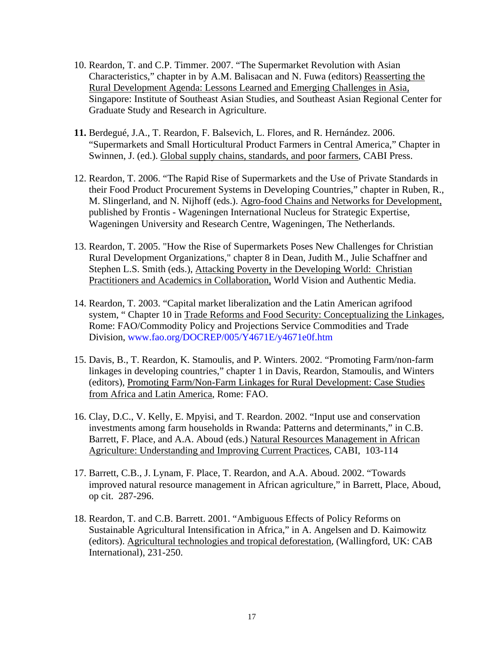- 10. Reardon, T. and C.P. Timmer. 2007. "The Supermarket Revolution with Asian Characteristics," chapter in by A.M. Balisacan and N. Fuwa (editors) Reasserting the Rural Development Agenda: Lessons Learned and Emerging Challenges in Asia, Singapore: Institute of Southeast Asian Studies, and Southeast Asian Regional Center for Graduate Study and Research in Agriculture.
- **11.** Berdegué, J.A., T. Reardon, F. Balsevich, L. Flores, and R. Hernández. 2006. "Supermarkets and Small Horticultural Product Farmers in Central America," Chapter in Swinnen, J. (ed.). Global supply chains, standards, and poor farmers, CABI Press.
- 12. Reardon, T. 2006. "The Rapid Rise of Supermarkets and the Use of Private Standards in their Food Product Procurement Systems in Developing Countries," chapter in Ruben, R., M. Slingerland, and N. Nijhoff (eds.). Agro-food Chains and Networks for Development, published by Frontis - Wageningen International Nucleus for Strategic Expertise, Wageningen University and Research Centre, Wageningen, The Netherlands.
- 13. Reardon, T. 2005. "How the Rise of Supermarkets Poses New Challenges for Christian Rural Development Organizations," chapter 8 in Dean, Judith M., Julie Schaffner and Stephen L.S. Smith (eds.), Attacking Poverty in the Developing World: Christian Practitioners and Academics in Collaboration, World Vision and Authentic Media.
- 14. Reardon, T. 2003. "Capital market liberalization and the Latin American agrifood system, " Chapter 10 in Trade Reforms and Food Security: Conceptualizing the Linkages, Rome: FAO/Commodity Policy and Projections Service Commodities and Trade Division, www.fao.org/DOCREP/005/Y4671E/y4671e0f.htm
- 15. Davis, B., T. Reardon, K. Stamoulis, and P. Winters. 2002. "Promoting Farm/non-farm linkages in developing countries," chapter 1 in Davis, Reardon, Stamoulis, and Winters (editors), Promoting Farm/Non-Farm Linkages for Rural Development: Case Studies from Africa and Latin America, Rome: FAO.
- 16. Clay, D.C., V. Kelly, E. Mpyisi, and T. Reardon. 2002. "Input use and conservation investments among farm households in Rwanda: Patterns and determinants," in C.B. Barrett, F. Place, and A.A. Aboud (eds.) Natural Resources Management in African Agriculture: Understanding and Improving Current Practices, CABI, 103-114
- 17. Barrett, C.B., J. Lynam, F. Place, T. Reardon, and A.A. Aboud. 2002. "Towards improved natural resource management in African agriculture," in Barrett, Place, Aboud, op cit. 287-296.
- 18. Reardon, T. and C.B. Barrett. 2001. "Ambiguous Effects of Policy Reforms on Sustainable Agricultural Intensification in Africa," in A. Angelsen and D. Kaimowitz (editors). Agricultural technologies and tropical deforestation, (Wallingford, UK: CAB International), 231-250.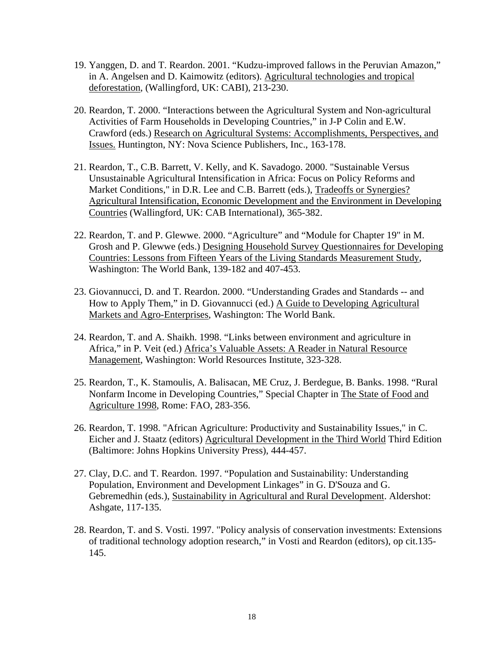- 19. Yanggen, D. and T. Reardon. 2001. "Kudzu-improved fallows in the Peruvian Amazon," in A. Angelsen and D. Kaimowitz (editors). Agricultural technologies and tropical deforestation, (Wallingford, UK: CABI), 213-230.
- 20. Reardon, T. 2000. "Interactions between the Agricultural System and Non-agricultural Activities of Farm Households in Developing Countries," in J-P Colin and E.W. Crawford (eds.) Research on Agricultural Systems: Accomplishments, Perspectives, and Issues. Huntington, NY: Nova Science Publishers, Inc., 163-178.
- 21. Reardon, T., C.B. Barrett, V. Kelly, and K. Savadogo. 2000. "Sustainable Versus Unsustainable Agricultural Intensification in Africa: Focus on Policy Reforms and Market Conditions," in D.R. Lee and C.B. Barrett (eds.), Tradeoffs or Synergies? Agricultural Intensification, Economic Development and the Environment in Developing Countries (Wallingford, UK: CAB International), 365-382.
- 22. Reardon, T. and P. Glewwe. 2000. "Agriculture" and "Module for Chapter 19" in M. Grosh and P. Glewwe (eds.) Designing Household Survey Questionnaires for Developing Countries: Lessons from Fifteen Years of the Living Standards Measurement Study, Washington: The World Bank, 139-182 and 407-453.
- 23. Giovannucci, D. and T. Reardon. 2000. "Understanding Grades and Standards -- and How to Apply Them," in D. Giovannucci (ed.) A Guide to Developing Agricultural Markets and Agro-Enterprises, Washington: The World Bank.
- 24. Reardon, T. and A. Shaikh. 1998. "Links between environment and agriculture in Africa," in P. Veit (ed.) Africa's Valuable Assets: A Reader in Natural Resource Management, Washington: World Resources Institute, 323-328.
- 25. Reardon, T., K. Stamoulis, A. Balisacan, ME Cruz, J. Berdegue, B. Banks. 1998. "Rural Nonfarm Income in Developing Countries," Special Chapter in The State of Food and Agriculture 1998, Rome: FAO, 283-356.
- 26. Reardon, T. 1998. "African Agriculture: Productivity and Sustainability Issues," in C. Eicher and J. Staatz (editors) Agricultural Development in the Third World Third Edition (Baltimore: Johns Hopkins University Press), 444-457.
- 27. Clay, D.C. and T. Reardon. 1997. "Population and Sustainability: Understanding Population, Environment and Development Linkages" in G. D'Souza and G. Gebremedhin (eds.), Sustainability in Agricultural and Rural Development. Aldershot: Ashgate, 117-135.
- 28. Reardon, T. and S. Vosti. 1997. "Policy analysis of conservation investments: Extensions of traditional technology adoption research," in Vosti and Reardon (editors), op cit.135- 145.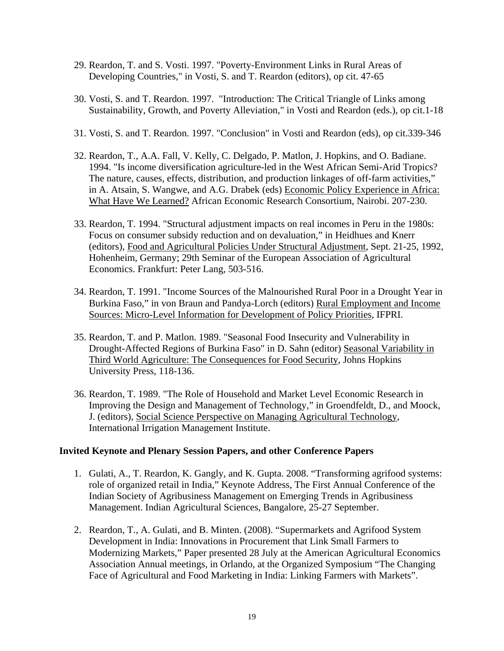- 29. Reardon, T. and S. Vosti. 1997. "Poverty-Environment Links in Rural Areas of Developing Countries," in Vosti, S. and T. Reardon (editors), op cit. 47-65
- 30. Vosti, S. and T. Reardon. 1997. "Introduction: The Critical Triangle of Links among Sustainability, Growth, and Poverty Alleviation," in Vosti and Reardon (eds.), op cit.1-18
- 31. Vosti, S. and T. Reardon. 1997. "Conclusion" in Vosti and Reardon (eds), op cit.339-346
- 32. Reardon, T., A.A. Fall, V. Kelly, C. Delgado, P. Matlon, J. Hopkins, and O. Badiane. 1994. "Is income diversification agriculture-led in the West African Semi-Arid Tropics? The nature, causes, effects, distribution, and production linkages of off-farm activities," in A. Atsain, S. Wangwe, and A.G. Drabek (eds) Economic Policy Experience in Africa: What Have We Learned? African Economic Research Consortium, Nairobi. 207-230.
- 33. Reardon, T. 1994. "Structural adjustment impacts on real incomes in Peru in the 1980s: Focus on consumer subsidy reduction and on devaluation," in Heidhues and Knerr (editors), Food and Agricultural Policies Under Structural Adjustment, Sept. 21-25, 1992, Hohenheim, Germany; 29th Seminar of the European Association of Agricultural Economics. Frankfurt: Peter Lang, 503-516.
- 34. Reardon, T. 1991. "Income Sources of the Malnourished Rural Poor in a Drought Year in Burkina Faso," in von Braun and Pandya-Lorch (editors) Rural Employment and Income Sources: Micro-Level Information for Development of Policy Priorities, IFPRI.
- 35. Reardon, T. and P. Matlon. 1989. "Seasonal Food Insecurity and Vulnerability in Drought-Affected Regions of Burkina Faso" in D. Sahn (editor) Seasonal Variability in Third World Agriculture: The Consequences for Food Security, Johns Hopkins University Press, 118-136.
- 36. Reardon, T. 1989. "The Role of Household and Market Level Economic Research in Improving the Design and Management of Technology," in Groendfeldt, D., and Moock, J. (editors), Social Science Perspective on Managing Agricultural Technology, International Irrigation Management Institute.

#### **Invited Keynote and Plenary Session Papers, and other Conference Papers**

- 1. Gulati, A., T. Reardon, K. Gangly, and K. Gupta. 2008. "Transforming agrifood systems: role of organized retail in India," Keynote Address, The First Annual Conference of the Indian Society of Agribusiness Management on Emerging Trends in Agribusiness Management. Indian Agricultural Sciences, Bangalore, 25-27 September.
- 2. Reardon, T., A. Gulati, and B. Minten. (2008). "Supermarkets and Agrifood System Development in India: Innovations in Procurement that Link Small Farmers to Modernizing Markets," Paper presented 28 July at the American Agricultural Economics Association Annual meetings, in Orlando, at the Organized Symposium "The Changing Face of Agricultural and Food Marketing in India: Linking Farmers with Markets".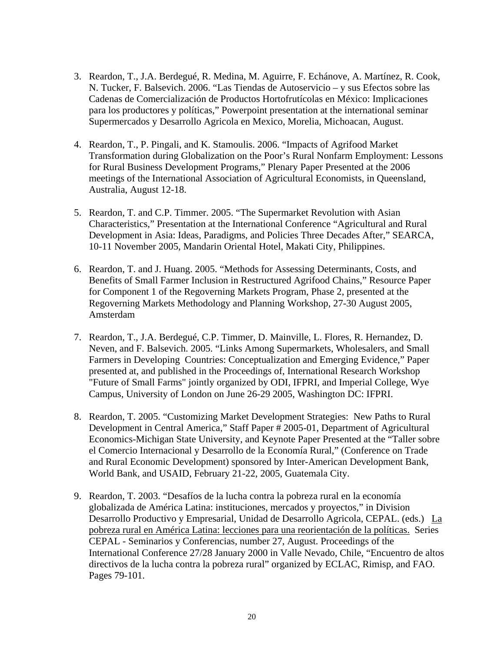- 3. Reardon, T., J.A. Berdegué, R. Medina, M. Aguirre, F. Echánove, A. Martínez, R. Cook, N. Tucker, F. Balsevich. 2006. "Las Tiendas de Autoservicio – y sus Efectos sobre las Cadenas de Comercialización de Productos Hortofrutícolas en México: Implicaciones para los productores y políticas," Powerpoint presentation at the international seminar Supermercados y Desarrollo Agricola en Mexico, Morelia, Michoacan, August.
- 4. Reardon, T., P. Pingali, and K. Stamoulis. 2006. "Impacts of Agrifood Market Transformation during Globalization on the Poor's Rural Nonfarm Employment: Lessons for Rural Business Development Programs," Plenary Paper Presented at the 2006 meetings of the International Association of Agricultural Economists, in Queensland, Australia, August 12-18.
- 5. Reardon, T. and C.P. Timmer. 2005. "The Supermarket Revolution with Asian Characteristics," Presentation at the International Conference "Agricultural and Rural Development in Asia: Ideas, Paradigms, and Policies Three Decades After," SEARCA, 10-11 November 2005, Mandarin Oriental Hotel, Makati City, Philippines.
- 6. Reardon, T. and J. Huang. 2005. "Methods for Assessing Determinants, Costs, and Benefits of Small Farmer Inclusion in Restructured Agrifood Chains," Resource Paper for Component 1 of the Regoverning Markets Program, Phase 2, presented at the Regoverning Markets Methodology and Planning Workshop, 27-30 August 2005, Amsterdam
- 7. Reardon, T., J.A. Berdegué, C.P. Timmer, D. Mainville, L. Flores, R. Hernandez, D. Neven, and F. Balsevich. 2005. "Links Among Supermarkets, Wholesalers, and Small Farmers in Developing Countries: Conceptualization and Emerging Evidence," Paper presented at, and published in the Proceedings of, International Research Workshop "Future of Small Farms" jointly organized by ODI, IFPRI, and Imperial College, Wye Campus, University of London on June 26-29 2005, Washington DC: IFPRI.
- 8. Reardon, T. 2005. "Customizing Market Development Strategies: New Paths to Rural Development in Central America," Staff Paper # 2005-01, Department of Agricultural Economics-Michigan State University, and Keynote Paper Presented at the "Taller sobre el Comercio Internacional y Desarrollo de la Economía Rural," (Conference on Trade and Rural Economic Development) sponsored by Inter-American Development Bank, World Bank, and USAID, February 21-22, 2005, Guatemala City.
- 9. Reardon, T. 2003. "Desafíos de la lucha contra la pobreza rural en la economía globalizada de América Latina: instituciones, mercados y proyectos," in Division Desarrollo Productivo y Empresarial, Unidad de Desarrollo Agricola, CEPAL. (eds.)La pobreza rural en América Latina: lecciones para una reorientación de la políticas. Series CEPAL - Seminarios y Conferencias, number 27, August. Proceedings of the International Conference 27/28 January 2000 in Valle Nevado, Chile, "Encuentro de altos directivos de la lucha contra la pobreza rural" organized by ECLAC, Rimisp, and FAO. Pages 79-101.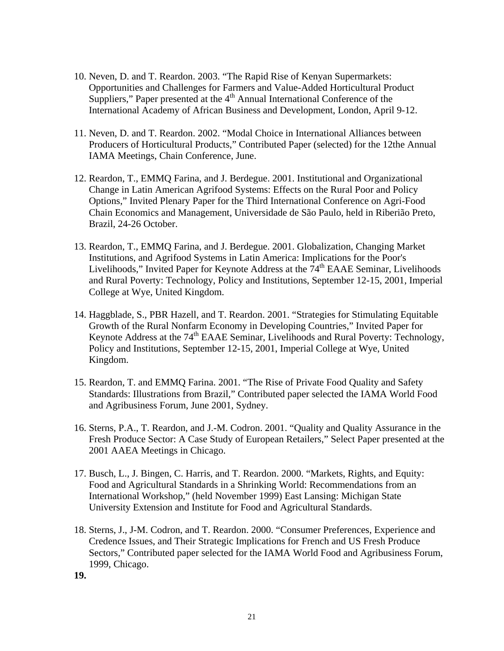- 10. Neven, D. and T. Reardon. 2003. "The Rapid Rise of Kenyan Supermarkets: Opportunities and Challenges for Farmers and Value-Added Horticultural Product Suppliers," Paper presented at the  $4<sup>th</sup>$  Annual International Conference of the International Academy of African Business and Development, London, April 9-12.
- 11. Neven, D. and T. Reardon. 2002. "Modal Choice in International Alliances between Producers of Horticultural Products," Contributed Paper (selected) for the 12the Annual IAMA Meetings, Chain Conference, June.
- 12. Reardon, T., EMMQ Farina, and J. Berdegue. 2001. Institutional and Organizational Change in Latin American Agrifood Systems: Effects on the Rural Poor and Policy Options," Invited Plenary Paper for the Third International Conference on Agri-Food Chain Economics and Management, Universidade de São Paulo, held in Riberião Preto, Brazil, 24-26 October.
- 13. Reardon, T., EMMQ Farina, and J. Berdegue. 2001. Globalization, Changing Market Institutions, and Agrifood Systems in Latin America: Implications for the Poor's Livelihoods," Invited Paper for Keynote Address at the  $74<sup>th</sup>$  EAAE Seminar, Livelihoods and Rural Poverty: Technology, Policy and Institutions, September 12-15, 2001, Imperial College at Wye, United Kingdom.
- 14. Haggblade, S., PBR Hazell, and T. Reardon. 2001. "Strategies for Stimulating Equitable Growth of the Rural Nonfarm Economy in Developing Countries," Invited Paper for Keynote Address at the 74<sup>th</sup> EAAE Seminar, Livelihoods and Rural Poverty: Technology, Policy and Institutions, September 12-15, 2001, Imperial College at Wye, United Kingdom.
- 15. Reardon, T. and EMMQ Farina. 2001. "The Rise of Private Food Quality and Safety Standards: Illustrations from Brazil," Contributed paper selected the IAMA World Food and Agribusiness Forum, June 2001, Sydney.
- 16. Sterns, P.A., T. Reardon, and J.-M. Codron. 2001. "Quality and Quality Assurance in the Fresh Produce Sector: A Case Study of European Retailers," Select Paper presented at the 2001 AAEA Meetings in Chicago.
- 17. Busch, L., J. Bingen, C. Harris, and T. Reardon. 2000. "Markets, Rights, and Equity: Food and Agricultural Standards in a Shrinking World: Recommendations from an International Workshop," (held November 1999) East Lansing: Michigan State University Extension and Institute for Food and Agricultural Standards.
- 18. Sterns, J., J-M. Codron, and T. Reardon. 2000. "Consumer Preferences, Experience and Credence Issues, and Their Strategic Implications for French and US Fresh Produce Sectors," Contributed paper selected for the IAMA World Food and Agribusiness Forum, 1999, Chicago.

**19.**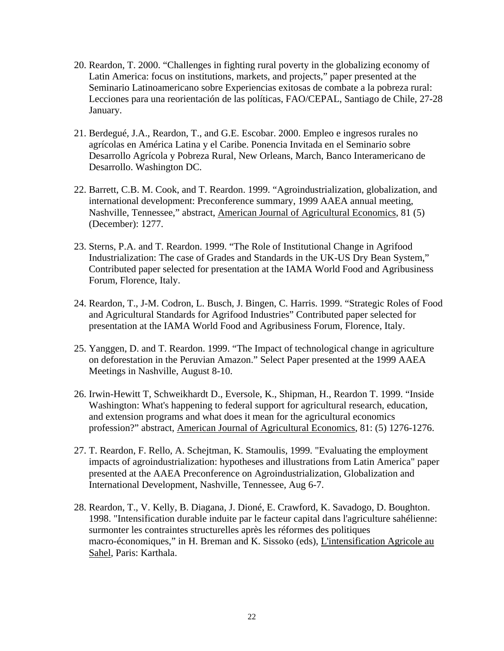- 20. Reardon, T. 2000. "Challenges in fighting rural poverty in the globalizing economy of Latin America: focus on institutions, markets, and projects," paper presented at the Seminario Latinoamericano sobre Experiencias exitosas de combate a la pobreza rural: Lecciones para una reorientación de las políticas, FAO/CEPAL, Santiago de Chile, 27-28 January.
- 21. Berdegué, J.A., Reardon, T., and G.E. Escobar. 2000. Empleo e ingresos rurales no agrícolas en América Latina y el Caribe. Ponencia Invitada en el Seminario sobre Desarrollo Agrícola y Pobreza Rural, New Orleans, March, Banco Interamericano de Desarrollo. Washington DC.
- 22. Barrett, C.B. M. Cook, and T. Reardon. 1999. "Agroindustrialization, globalization, and international development: Preconference summary, 1999 AAEA annual meeting, Nashville, Tennessee," abstract, American Journal of Agricultural Economics, 81 (5) (December): 1277.
- 23. Sterns, P.A. and T. Reardon. 1999. "The Role of Institutional Change in Agrifood Industrialization: The case of Grades and Standards in the UK-US Dry Bean System," Contributed paper selected for presentation at the IAMA World Food and Agribusiness Forum, Florence, Italy.
- 24. Reardon, T., J-M. Codron, L. Busch, J. Bingen, C. Harris. 1999. "Strategic Roles of Food and Agricultural Standards for Agrifood Industries" Contributed paper selected for presentation at the IAMA World Food and Agribusiness Forum, Florence, Italy.
- 25. Yanggen, D. and T. Reardon. 1999. "The Impact of technological change in agriculture on deforestation in the Peruvian Amazon." Select Paper presented at the 1999 AAEA Meetings in Nashville, August 8-10.
- 26. Irwin-Hewitt T, Schweikhardt D., Eversole, K., Shipman, H., Reardon T. 1999. "Inside Washington: What's happening to federal support for agricultural research, education, and extension programs and what does it mean for the agricultural economics profession?" abstract, American Journal of Agricultural Economics, 81: (5) 1276-1276.
- 27. T. Reardon, F. Rello, A. Schejtman, K. Stamoulis, 1999. "Evaluating the employment impacts of agroindustrialization: hypotheses and illustrations from Latin America" paper presented at the AAEA Preconference on Agroindustrialization, Globalization and International Development, Nashville, Tennessee, Aug 6-7.
- 28. Reardon, T., V. Kelly, B. Diagana, J. Dioné, E. Crawford, K. Savadogo, D. Boughton. 1998. "Intensification durable induite par le facteur capital dans l'agriculture sahélienne: surmonter les contraintes structurelles après les réformes des politiques macro-économiques," in H. Breman and K. Sissoko (eds), L'intensification Agricole au Sahel, Paris: Karthala.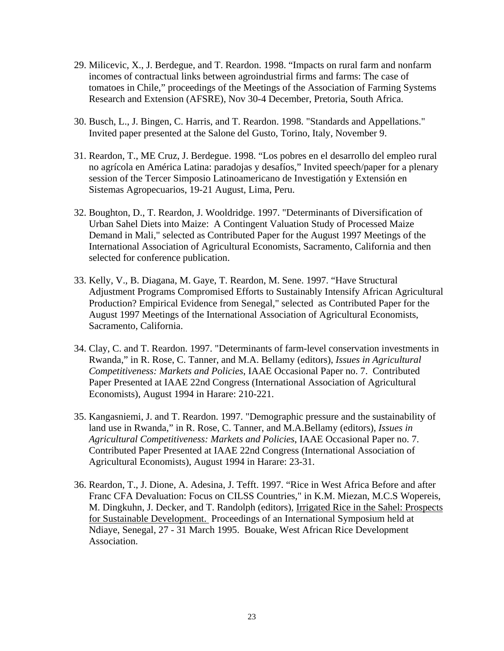- 29. Milicevic, X., J. Berdegue, and T. Reardon. 1998. "Impacts on rural farm and nonfarm incomes of contractual links between agroindustrial firms and farms: The case of tomatoes in Chile," proceedings of the Meetings of the Association of Farming Systems Research and Extension (AFSRE), Nov 30-4 December, Pretoria, South Africa.
- 30. Busch, L., J. Bingen, C. Harris, and T. Reardon. 1998. "Standards and Appellations." Invited paper presented at the Salone del Gusto, Torino, Italy, November 9.
- 31. Reardon, T., ME Cruz, J. Berdegue. 1998. "Los pobres en el desarrollo del empleo rural no agrícola en América Latina: paradojas y desafíos," Invited speech/paper for a plenary session of the Tercer Simposio Latinoamericano de Investigatión y Extensión en Sistemas Agropecuarios, 19-21 August, Lima, Peru.
- 32. Boughton, D., T. Reardon, J. Wooldridge. 1997. "Determinants of Diversification of Urban Sahel Diets into Maize: A Contingent Valuation Study of Processed Maize Demand in Mali," selected as Contributed Paper for the August 1997 Meetings of the International Association of Agricultural Economists, Sacramento, California and then selected for conference publication.
- 33. Kelly, V., B. Diagana, M. Gaye, T. Reardon, M. Sene. 1997. "Have Structural Adjustment Programs Compromised Efforts to Sustainably Intensify African Agricultural Production? Empirical Evidence from Senegal," selected as Contributed Paper for the August 1997 Meetings of the International Association of Agricultural Economists, Sacramento, California.
- 34. Clay, C. and T. Reardon. 1997. "Determinants of farm-level conservation investments in Rwanda," in R. Rose, C. Tanner, and M.A. Bellamy (editors), *Issues in Agricultural Competitiveness: Markets and Policies*, IAAE Occasional Paper no. 7. Contributed Paper Presented at IAAE 22nd Congress (International Association of Agricultural Economists), August 1994 in Harare: 210-221.
- 35. Kangasniemi, J. and T. Reardon. 1997. "Demographic pressure and the sustainability of land use in Rwanda," in R. Rose, C. Tanner, and M.A.Bellamy (editors), *Issues in Agricultural Competitiveness: Markets and Policies*, IAAE Occasional Paper no. 7. Contributed Paper Presented at IAAE 22nd Congress (International Association of Agricultural Economists), August 1994 in Harare: 23-31.
- 36. Reardon, T., J. Dione, A. Adesina, J. Tefft. 1997. "Rice in West Africa Before and after Franc CFA Devaluation: Focus on CILSS Countries," in K.M. Miezan, M.C.S Wopereis, M. Dingkuhn, J. Decker, and T. Randolph (editors), Irrigated Rice in the Sahel: Prospects for Sustainable Development. Proceedings of an International Symposium held at Ndiaye, Senegal, 27 - 31 March 1995. Bouake, West African Rice Development Association.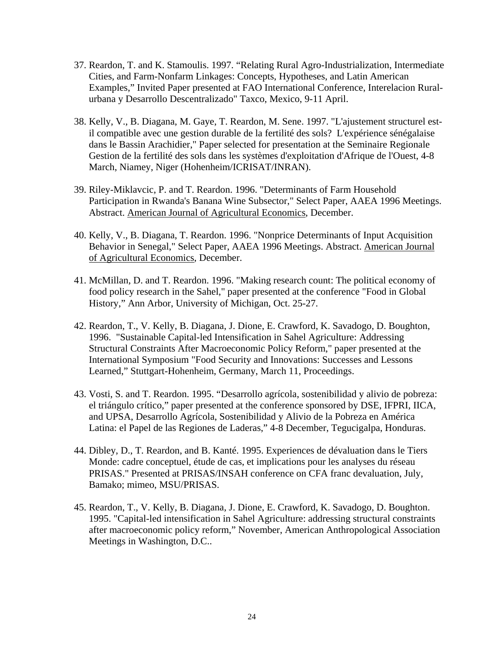- 37. Reardon, T. and K. Stamoulis. 1997. "Relating Rural Agro-Industrialization, Intermediate Cities, and Farm-Nonfarm Linkages: Concepts, Hypotheses, and Latin American Examples," Invited Paper presented at FAO International Conference, Interelacion Ruralurbana y Desarrollo Descentralizado" Taxco, Mexico, 9-11 April.
- 38. Kelly, V., B. Diagana, M. Gaye, T. Reardon, M. Sene. 1997. "L'ajustement structurel estil compatible avec une gestion durable de la fertilité des sols? L'expérience sénégalaise dans le Bassin Arachidier," Paper selected for presentation at the Seminaire Regionale Gestion de la fertilité des sols dans les systèmes d'exploitation d'Afrique de l'Ouest, 4-8 March, Niamey, Niger (Hohenheim/ICRISAT/INRAN).
- 39. Riley-Miklavcic, P. and T. Reardon. 1996. "Determinants of Farm Household Participation in Rwanda's Banana Wine Subsector," Select Paper, AAEA 1996 Meetings. Abstract. American Journal of Agricultural Economics, December.
- 40. Kelly, V., B. Diagana, T. Reardon. 1996. "Nonprice Determinants of Input Acquisition Behavior in Senegal," Select Paper, AAEA 1996 Meetings. Abstract. American Journal of Agricultural Economics, December.
- 41. McMillan, D. and T. Reardon. 1996. "Making research count: The political economy of food policy research in the Sahel," paper presented at the conference "Food in Global History," Ann Arbor, University of Michigan, Oct. 25-27.
- 42. Reardon, T., V. Kelly, B. Diagana, J. Dione, E. Crawford, K. Savadogo, D. Boughton, 1996. "Sustainable Capital-led Intensification in Sahel Agriculture: Addressing Structural Constraints After Macroeconomic Policy Reform," paper presented at the International Symposium "Food Security and Innovations: Successes and Lessons Learned," Stuttgart-Hohenheim, Germany, March 11, Proceedings.
- 43. Vosti, S. and T. Reardon. 1995. "Desarrollo agrícola, sostenibilidad y alivio de pobreza: el triángulo crítico," paper presented at the conference sponsored by DSE, IFPRI, IICA, and UPSA, Desarrollo Agrícola, Sostenibilidad y Alivio de la Pobreza en América Latina: el Papel de las Regiones de Laderas," 4-8 December, Tegucigalpa, Honduras.
- 44. Dibley, D., T. Reardon, and B. Kanté. 1995. Experiences de dévaluation dans le Tiers Monde: cadre conceptuel, étude de cas, et implications pour les analyses du réseau PRISAS." Presented at PRISAS/INSAH conference on CFA franc devaluation, July, Bamako; mimeo, MSU/PRISAS.
- 45. Reardon, T., V. Kelly, B. Diagana, J. Dione, E. Crawford, K. Savadogo, D. Boughton. 1995. "Capital-led intensification in Sahel Agriculture: addressing structural constraints after macroeconomic policy reform," November, American Anthropological Association Meetings in Washington, D.C..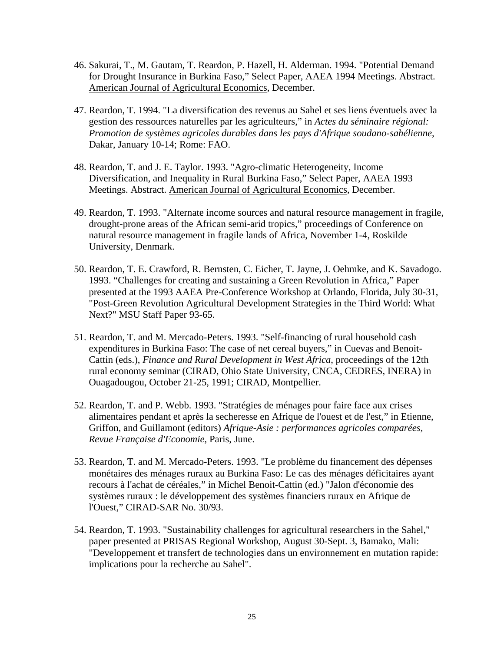- 46. Sakurai, T., M. Gautam, T. Reardon, P. Hazell, H. Alderman. 1994. "Potential Demand for Drought Insurance in Burkina Faso," Select Paper, AAEA 1994 Meetings. Abstract. American Journal of Agricultural Economics, December.
- 47. Reardon, T. 1994. "La diversification des revenus au Sahel et ses liens éventuels avec la gestion des ressources naturelles par les agriculteurs," in *Actes du séminaire régional: Promotion de systèmes agricoles durables dans les pays d'Afrique soudano-sahélienne*, Dakar, January 10-14; Rome: FAO.
- 48. Reardon, T. and J. E. Taylor. 1993. "Agro-climatic Heterogeneity, Income Diversification, and Inequality in Rural Burkina Faso," Select Paper, AAEA 1993 Meetings. Abstract. American Journal of Agricultural Economics, December.
- 49. Reardon, T. 1993. "Alternate income sources and natural resource management in fragile, drought-prone areas of the African semi-arid tropics," proceedings of Conference on natural resource management in fragile lands of Africa, November 1-4, Roskilde University, Denmark.
- 50. Reardon, T. E. Crawford, R. Bernsten, C. Eicher, T. Jayne, J. Oehmke, and K. Savadogo. 1993. "Challenges for creating and sustaining a Green Revolution in Africa," Paper presented at the 1993 AAEA Pre-Conference Workshop at Orlando, Florida, July 30-31, "Post-Green Revolution Agricultural Development Strategies in the Third World: What Next?" MSU Staff Paper 93-65.
- 51. Reardon, T. and M. Mercado-Peters. 1993. "Self-financing of rural household cash expenditures in Burkina Faso: The case of net cereal buyers," in Cuevas and Benoit-Cattin (eds.), *Finance and Rural Development in West Africa*, proceedings of the 12th rural economy seminar (CIRAD, Ohio State University, CNCA, CEDRES, INERA) in Ouagadougou, October 21-25, 1991; CIRAD, Montpellier.
- 52. Reardon, T. and P. Webb. 1993. "Stratégies de ménages pour faire face aux crises alimentaires pendant et après la secheresse en Afrique de l'ouest et de l'est," in Etienne, Griffon, and Guillamont (editors) *Afrique-Asie : performances agricoles comparées, Revue Française d'Economie*, Paris, June.
- 53. Reardon, T. and M. Mercado-Peters. 1993. "Le problème du financement des dépenses monétaires des ménages ruraux au Burkina Faso: Le cas des ménages déficitaires ayant recours à l'achat de céréales," in Michel Benoit-Cattin (ed.) "Jalon d'économie des systèmes ruraux : le développement des systèmes financiers ruraux en Afrique de l'Ouest," CIRAD-SAR No. 30/93.
- 54. Reardon, T. 1993. "Sustainability challenges for agricultural researchers in the Sahel," paper presented at PRISAS Regional Workshop, August 30-Sept. 3, Bamako, Mali: "Developpement et transfert de technologies dans un environnement en mutation rapide: implications pour la recherche au Sahel".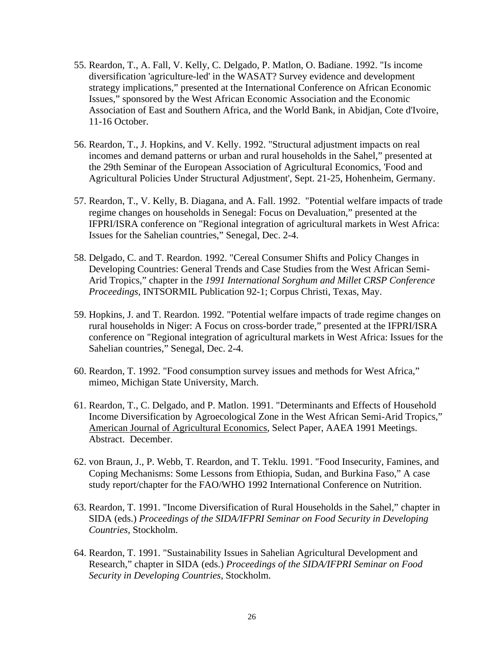- 55. Reardon, T., A. Fall, V. Kelly, C. Delgado, P. Matlon, O. Badiane. 1992. "Is income diversification 'agriculture-led' in the WASAT? Survey evidence and development strategy implications," presented at the International Conference on African Economic Issues," sponsored by the West African Economic Association and the Economic Association of East and Southern Africa, and the World Bank, in Abidjan, Cote d'Ivoire, 11-16 October.
- 56. Reardon, T., J. Hopkins, and V. Kelly. 1992. "Structural adjustment impacts on real incomes and demand patterns or urban and rural households in the Sahel," presented at the 29th Seminar of the European Association of Agricultural Economics, 'Food and Agricultural Policies Under Structural Adjustment', Sept. 21-25, Hohenheim, Germany.
- 57. Reardon, T., V. Kelly, B. Diagana, and A. Fall. 1992. "Potential welfare impacts of trade regime changes on households in Senegal: Focus on Devaluation," presented at the IFPRI/ISRA conference on "Regional integration of agricultural markets in West Africa: Issues for the Sahelian countries," Senegal, Dec. 2-4.
- 58. Delgado, C. and T. Reardon. 1992. "Cereal Consumer Shifts and Policy Changes in Developing Countries: General Trends and Case Studies from the West African Semi-Arid Tropics," chapter in the *1991 International Sorghum and Millet CRSP Conference Proceedings*, INTSORMIL Publication 92-1; Corpus Christi, Texas, May.
- 59. Hopkins, J. and T. Reardon. 1992. "Potential welfare impacts of trade regime changes on rural households in Niger: A Focus on cross-border trade," presented at the IFPRI/ISRA conference on "Regional integration of agricultural markets in West Africa: Issues for the Sahelian countries," Senegal, Dec. 2-4.
- 60. Reardon, T. 1992. "Food consumption survey issues and methods for West Africa," mimeo, Michigan State University, March.
- 61. Reardon, T., C. Delgado, and P. Matlon. 1991. "Determinants and Effects of Household Income Diversification by Agroecological Zone in the West African Semi-Arid Tropics," American Journal of Agricultural Economics, Select Paper, AAEA 1991 Meetings. Abstract. December.
- 62. von Braun, J., P. Webb, T. Reardon, and T. Teklu. 1991. "Food Insecurity, Famines, and Coping Mechanisms: Some Lessons from Ethiopia, Sudan, and Burkina Faso," A case study report/chapter for the FAO/WHO 1992 International Conference on Nutrition.
- 63. Reardon, T. 1991. "Income Diversification of Rural Households in the Sahel," chapter in SIDA (eds.) *Proceedings of the SIDA/IFPRI Seminar on Food Security in Developing Countries*, Stockholm.
- 64. Reardon, T. 1991. "Sustainability Issues in Sahelian Agricultural Development and Research," chapter in SIDA (eds.) *Proceedings of the SIDA/IFPRI Seminar on Food Security in Developing Countries*, Stockholm.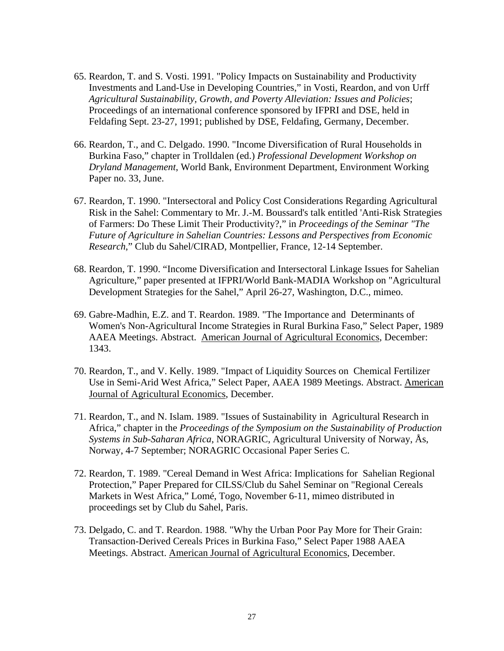- 65. Reardon, T. and S. Vosti. 1991. "Policy Impacts on Sustainability and Productivity Investments and Land-Use in Developing Countries," in Vosti, Reardon, and von Urff *Agricultural Sustainability, Growth, and Poverty Alleviation: Issues and Policies*; Proceedings of an international conference sponsored by IFPRI and DSE, held in Feldafing Sept. 23-27, 1991; published by DSE, Feldafing, Germany, December.
- 66. Reardon, T., and C. Delgado. 1990. "Income Diversification of Rural Households in Burkina Faso," chapter in Trolldalen (ed.) *Professional Development Workshop on Dryland Management*, World Bank, Environment Department, Environment Working Paper no. 33, June.
- 67. Reardon, T. 1990. "Intersectoral and Policy Cost Considerations Regarding Agricultural Risk in the Sahel: Commentary to Mr. J.-M. Boussard's talk entitled 'Anti-Risk Strategies of Farmers: Do These Limit Their Productivity?," in *Proceedings of the Seminar "The Future of Agriculture in Sahelian Countries: Lessons and Perspectives from Economic Research*," Club du Sahel/CIRAD, Montpellier, France, 12-14 September.
- 68. Reardon, T. 1990. "Income Diversification and Intersectoral Linkage Issues for Sahelian Agriculture," paper presented at IFPRI/World Bank-MADIA Workshop on "Agricultural Development Strategies for the Sahel," April 26-27, Washington, D.C., mimeo.
- 69. Gabre-Madhin, E.Z. and T. Reardon. 1989. "The Importance and Determinants of Women's Non-Agricultural Income Strategies in Rural Burkina Faso," Select Paper, 1989 AAEA Meetings. Abstract. American Journal of Agricultural Economics, December: 1343.
- 70. Reardon, T., and V. Kelly. 1989. "Impact of Liquidity Sources on Chemical Fertilizer Use in Semi-Arid West Africa," Select Paper, AAEA 1989 Meetings. Abstract. American Journal of Agricultural Economics, December.
- 71. Reardon, T., and N. Islam. 1989. "Issues of Sustainability in Agricultural Research in Africa," chapter in the *Proceedings of the Symposium on the Sustainability of Production Systems in Sub-Saharan Africa*, NORAGRIC, Agricultural University of Norway, Ås, Norway, 4-7 September; NORAGRIC Occasional Paper Series C.
- 72. Reardon, T. 1989. "Cereal Demand in West Africa: Implications for Sahelian Regional Protection," Paper Prepared for CILSS/Club du Sahel Seminar on "Regional Cereals Markets in West Africa," Lomé, Togo, November 6-11, mimeo distributed in proceedings set by Club du Sahel, Paris.
- 73. Delgado, C. and T. Reardon. 1988. "Why the Urban Poor Pay More for Their Grain: Transaction-Derived Cereals Prices in Burkina Faso," Select Paper 1988 AAEA Meetings. Abstract. American Journal of Agricultural Economics, December.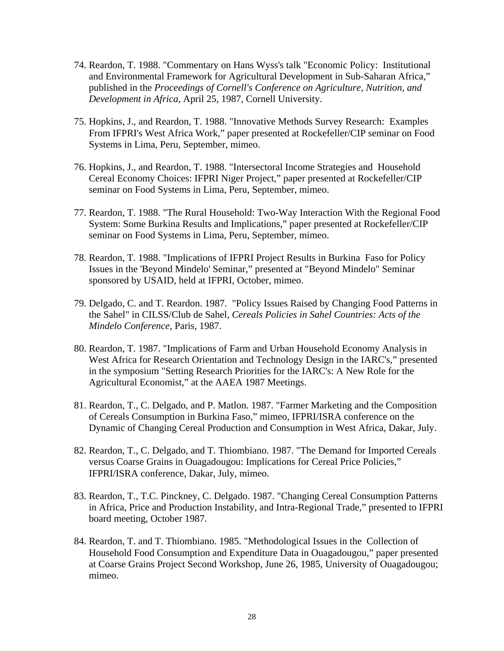- 74. Reardon, T. 1988. "Commentary on Hans Wyss's talk "Economic Policy: Institutional and Environmental Framework for Agricultural Development in Sub-Saharan Africa," published in the *Proceedings of Cornell's Conference on Agriculture, Nutrition, and Development in Africa*, April 25, 1987, Cornell University.
- 75. Hopkins, J., and Reardon, T. 1988. "Innovative Methods Survey Research: Examples From IFPRI's West Africa Work," paper presented at Rockefeller/CIP seminar on Food Systems in Lima, Peru, September, mimeo.
- 76. Hopkins, J., and Reardon, T. 1988. "Intersectoral Income Strategies and Household Cereal Economy Choices: IFPRI Niger Project," paper presented at Rockefeller/CIP seminar on Food Systems in Lima, Peru, September, mimeo.
- 77. Reardon, T. 1988. "The Rural Household: Two-Way Interaction With the Regional Food System: Some Burkina Results and Implications," paper presented at Rockefeller/CIP seminar on Food Systems in Lima, Peru, September, mimeo.
- 78. Reardon, T. 1988. "Implications of IFPRI Project Results in Burkina Faso for Policy Issues in the 'Beyond Mindelo' Seminar," presented at "Beyond Mindelo" Seminar sponsored by USAID, held at IFPRI, October, mimeo.
- 79. Delgado, C. and T. Reardon. 1987. "Policy Issues Raised by Changing Food Patterns in the Sahel" in CILSS/Club de Sahel, *Cereals Policies in Sahel Countries: Acts of the Mindelo Conference*, Paris, 1987.
- 80. Reardon, T. 1987. "Implications of Farm and Urban Household Economy Analysis in West Africa for Research Orientation and Technology Design in the IARC's," presented in the symposium "Setting Research Priorities for the IARC's: A New Role for the Agricultural Economist," at the AAEA 1987 Meetings.
- 81. Reardon, T., C. Delgado, and P. Matlon. 1987. "Farmer Marketing and the Composition of Cereals Consumption in Burkina Faso," mimeo, IFPRI/ISRA conference on the Dynamic of Changing Cereal Production and Consumption in West Africa, Dakar, July.
- 82. Reardon, T., C. Delgado, and T. Thiombiano. 1987. "The Demand for Imported Cereals versus Coarse Grains in Ouagadougou: Implications for Cereal Price Policies," IFPRI/ISRA conference, Dakar, July, mimeo.
- 83. Reardon, T., T.C. Pinckney, C. Delgado. 1987. "Changing Cereal Consumption Patterns in Africa, Price and Production Instability, and Intra-Regional Trade," presented to IFPRI board meeting, October 1987.
- 84. Reardon, T. and T. Thiombiano. 1985. "Methodological Issues in the Collection of Household Food Consumption and Expenditure Data in Ouagadougou," paper presented at Coarse Grains Project Second Workshop, June 26, 1985, University of Ouagadougou; mimeo.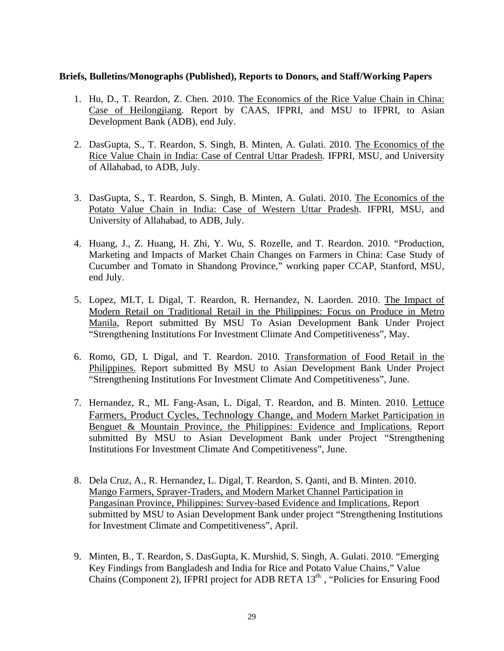#### **Briefs, Bulletins/Monographs (Published), Reports to Donors, and Staff/Working Papers**

- 1. Hu, D., T. Reardon, Z. Chen. 2010. The Economics of the Rice Value Chain in China: Case of Heilongjiang. Report by CAAS, IFPRI, and MSU to IFPRI, to Asian Development Bank (ADB), end July.
- 2. DasGupta, S., T. Reardon, S. Singh, B. Minten, A. Gulati. 2010. The Economics of the Rice Value Chain in India: Case of Central Uttar Pradesh. IFPRI, MSU, and University of Allahabad, to ADB, July.
- 3. DasGupta, S., T. Reardon, S. Singh, B. Minten, A. Gulati. 2010. The Economics of the Potato Value Chain in India: Case of Western Uttar Pradesh. IFPRI, MSU, and University of Allahabad, to ADB, July.
- 4. Huang, J., Z. Huang, H. Zhi, Y. Wu, S. Rozelle, and T. Reardon. 2010. "Production, Marketing and Impacts of Market Chain Changes on Farmers in China: Case Study of Cucumber and Tomato in Shandong Province," working paper CCAP, Stanford, MSU, end July.
- 5. Lopez, MLT, L Digal, T. Reardon, R. Hernandez, N. Laorden. 2010. The Impact of Modern Retail on Traditional Retail in the Philippines: Focus on Produce in Metro Manila, Report submitted By MSU To Asian Development Bank Under Project "Strengthening Institutions For Investment Climate And Competitiveness", May.
- 6. Romo, GD, L Digal, and T. Reardon. 2010. Transformation of Food Retail in the Philippines. Report submitted By MSU to Asian Development Bank Under Project "Strengthening Institutions For Investment Climate And Competitiveness", June.
- 7. Hernandez, R., ML Fang-Asan, L. Digal, T. Reardon, and B. Minten. 2010. Lettuce Farmers, Product Cycles, Technology Change, and Modern Market Participation in Benguet & Mountain Province, the Philippines: Evidence and Implications. Report submitted By MSU to Asian Development Bank under Project "Strengthening Institutions For Investment Climate And Competitiveness", June.
- 8. Dela Cruz, A., R. Hernandez, L. Digal, T. Reardon, S. Qanti, and B. Minten. 2010. Mango Farmers, Sprayer-Traders, and Modern Market Channel Participation in Pangasinan Province, Philippines: Survey-based Evidence and Implications, Report submitted by MSU to Asian Development Bank under project "Strengthening Institutions for Investment Climate and Competitiveness", April.
- 9. Minten, B., T. Reardon, S. DasGupta, K. Murshid, S. Singh, A. Gulati. 2010. "Emerging Key Findings from Bangladesh and India for Rice and Potato Value Chains," Value Chains (Component 2), IFPRI project for ADB RETA  $13<sup>th</sup>$ , "Policies for Ensuring Food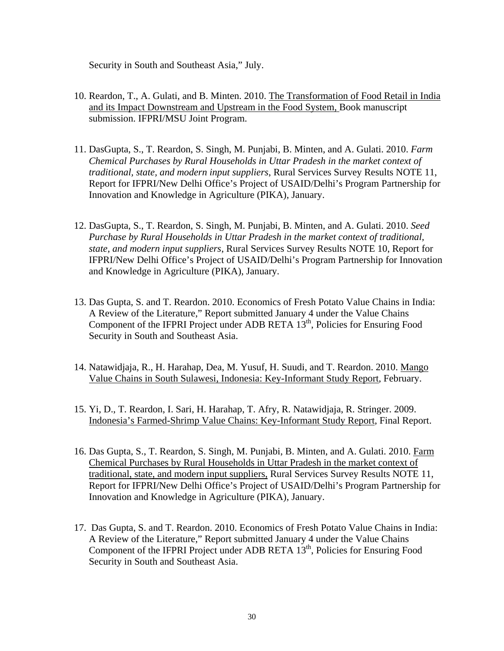Security in South and Southeast Asia," July.

- 10. Reardon, T., A. Gulati, and B. Minten. 2010. The Transformation of Food Retail in India and its Impact Downstream and Upstream in the Food System, Book manuscript submission. IFPRI/MSU Joint Program.
- 11. DasGupta, S., T. Reardon, S. Singh, M. Punjabi, B. Minten, and A. Gulati. 2010. *Farm Chemical Purchases by Rural Households in Uttar Pradesh in the market context of traditional, state, and modern input suppliers*, Rural Services Survey Results NOTE 11, Report for IFPRI/New Delhi Office's Project of USAID/Delhi's Program Partnership for Innovation and Knowledge in Agriculture (PIKA), January.
- 12. DasGupta, S., T. Reardon, S. Singh, M. Punjabi, B. Minten, and A. Gulati. 2010. *Seed Purchase by Rural Households in Uttar Pradesh in the market context of traditional, state, and modern input suppliers*, Rural Services Survey Results NOTE 10, Report for IFPRI/New Delhi Office's Project of USAID/Delhi's Program Partnership for Innovation and Knowledge in Agriculture (PIKA), January.
- 13. Das Gupta, S. and T. Reardon. 2010. Economics of Fresh Potato Value Chains in India: A Review of the Literature," Report submitted January 4 under the Value Chains Component of the IFPRI Project under ADB RETA  $13<sup>th</sup>$ , Policies for Ensuring Food Security in South and Southeast Asia.
- 14. Natawidjaja, R., H. Harahap, Dea, M. Yusuf, H. Suudi, and T. Reardon. 2010. Mango Value Chains in South Sulawesi, Indonesia: Key-Informant Study Report, February.
- 15. Yi, D., T. Reardon, I. Sari, H. Harahap, T. Afry, R. Natawidjaja, R. Stringer. 2009. Indonesia's Farmed-Shrimp Value Chains: Key-Informant Study Report, Final Report.
- 16. Das Gupta, S., T. Reardon, S. Singh, M. Punjabi, B. Minten, and A. Gulati. 2010. Farm Chemical Purchases by Rural Households in Uttar Pradesh in the market context of traditional, state, and modern input suppliers, Rural Services Survey Results NOTE 11, Report for IFPRI/New Delhi Office's Project of USAID/Delhi's Program Partnership for Innovation and Knowledge in Agriculture (PIKA), January.
- 17. Das Gupta, S. and T. Reardon. 2010. Economics of Fresh Potato Value Chains in India: A Review of the Literature," Report submitted January 4 under the Value Chains Component of the IFPRI Project under ADB RETA  $13<sup>th</sup>$ , Policies for Ensuring Food Security in South and Southeast Asia.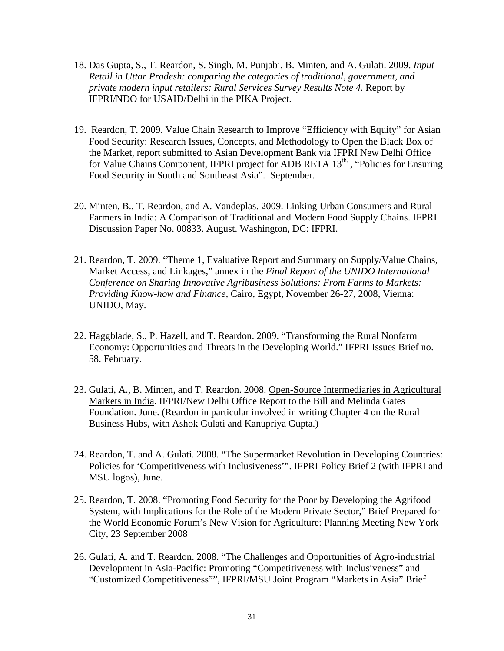- 18. Das Gupta, S., T. Reardon, S. Singh, M. Punjabi, B. Minten, and A. Gulati. 2009. *Input Retail in Uttar Pradesh: comparing the categories of traditional, government, and private modern input retailers: Rural Services Survey Results Note 4.* Report by IFPRI/NDO for USAID/Delhi in the PIKA Project.
- 19. Reardon, T. 2009. Value Chain Research to Improve "Efficiency with Equity" for Asian Food Security: Research Issues, Concepts, and Methodology to Open the Black Box of the Market, report submitted to Asian Development Bank via IFPRI New Delhi Office for Value Chains Component, IFPRI project for ADB RETA 13<sup>th</sup>., "Policies for Ensuring Food Security in South and Southeast Asia". September.
- 20. Minten, B., T. Reardon, and A. Vandeplas. 2009. Linking Urban Consumers and Rural Farmers in India: A Comparison of Traditional and Modern Food Supply Chains. IFPRI Discussion Paper No. 00833. August. Washington, DC: IFPRI.
- 21. Reardon, T. 2009. "Theme 1, Evaluative Report and Summary on Supply/Value Chains, Market Access, and Linkages," annex in the *Final Report of the UNIDO International Conference on Sharing Innovative Agribusiness Solutions: From Farms to Markets: Providing Know-how and Finance,* Cairo, Egypt, November 26-27, 2008, Vienna: UNIDO, May.
- 22. Haggblade, S., P. Hazell, and T. Reardon. 2009. "Transforming the Rural Nonfarm Economy: Opportunities and Threats in the Developing World." IFPRI Issues Brief no. 58. February.
- 23. Gulati, A., B. Minten, and T. Reardon. 2008. Open-Source Intermediaries in Agricultural Markets in India. IFPRI/New Delhi Office Report to the Bill and Melinda Gates Foundation. June. (Reardon in particular involved in writing Chapter 4 on the Rural Business Hubs, with Ashok Gulati and Kanupriya Gupta.)
- 24. Reardon, T. and A. Gulati. 2008. "The Supermarket Revolution in Developing Countries: Policies for 'Competitiveness with Inclusiveness'". IFPRI Policy Brief 2 (with IFPRI and MSU logos), June.
- 25. Reardon, T. 2008. "Promoting Food Security for the Poor by Developing the Agrifood System, with Implications for the Role of the Modern Private Sector," Brief Prepared for the World Economic Forum's New Vision for Agriculture: Planning Meeting New York City, 23 September 2008
- 26. Gulati, A. and T. Reardon. 2008. "The Challenges and Opportunities of Agro-industrial Development in Asia-Pacific: Promoting "Competitiveness with Inclusiveness" and "Customized Competitiveness"", IFPRI/MSU Joint Program "Markets in Asia" Brief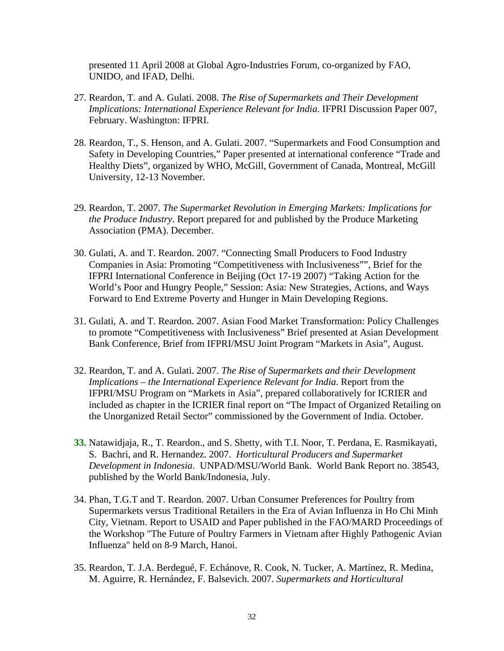presented 11 April 2008 at Global Agro-Industries Forum, co-organized by FAO, UNIDO, and IFAD, Delhi.

- 27. Reardon, T. and A. Gulati. 2008. *The Rise of Supermarkets and Their Development Implications: International Experience Relevant for India*. IFPRI Discussion Paper 007, February. Washington: IFPRI.
- 28. Reardon, T., S. Henson, and A. Gulati. 2007. "Supermarkets and Food Consumption and Safety in Developing Countries," Paper presented at international conference "Trade and Healthy Diets", organized by WHO, McGill, Government of Canada, Montreal, McGill University, 12-13 November.
- 29. Reardon, T. 2007. *The Supermarket Revolution in Emerging Markets: Implications for the Produce Industry*. Report prepared for and published by the Produce Marketing Association (PMA). December.
- 30. Gulati, A. and T. Reardon. 2007. "Connecting Small Producers to Food Industry Companies in Asia: Promoting "Competitiveness with Inclusiveness"", Brief for the IFPRI International Conference in Beijing (Oct 17-19 2007) "Taking Action for the World's Poor and Hungry People," Session: Asia: New Strategies, Actions, and Ways Forward to End Extreme Poverty and Hunger in Main Developing Regions.
- 31. Gulati, A. and T. Reardon. 2007. Asian Food Market Transformation: Policy Challenges to promote "Competitiveness with Inclusiveness" Brief presented at Asian Development Bank Conference, Brief from IFPRI/MSU Joint Program "Markets in Asia", August.
- 32. Reardon, T. and A. Gulati. 2007. *The Rise of Supermarkets and their Development Implications – the International Experience Relevant for India*. Report from the IFPRI/MSU Program on "Markets in Asia", prepared collaboratively for ICRIER and included as chapter in the ICRIER final report on "The Impact of Organized Retailing on the Unorganized Retail Sector" commissioned by the Government of India. October.
- **33.** Natawidjaja, R., T. Reardon., and S. Shetty, with T.I. Noor, T. Perdana, E. Rasmikayati, S. Bachri, and R. Hernandez. 2007. *Horticultural Producers and Supermarket Development in Indonesia*. UNPAD/MSU/World Bank. World Bank Report no. 38543, published by the World Bank/Indonesia, July.
- 34. Phan, T.G.T and T. Reardon. 2007. Urban Consumer Preferences for Poultry from Supermarkets versus Traditional Retailers in the Era of Avian Influenza in Ho Chi Minh City, Vietnam. Report to USAID and Paper published in the FAO/MARD Proceedings of the Workshop "The Future of Poultry Farmers in Vietnam after Highly Pathogenic Avian Influenza" held on 8-9 March, Hanoi.
- 35. Reardon, T. J.A. Berdegué, F. Echánove, R. Cook, N. Tucker, A. Martínez, R. Medina, M. Aguirre, R. Hernández, F. Balsevich. 2007. *Supermarkets and Horticultural*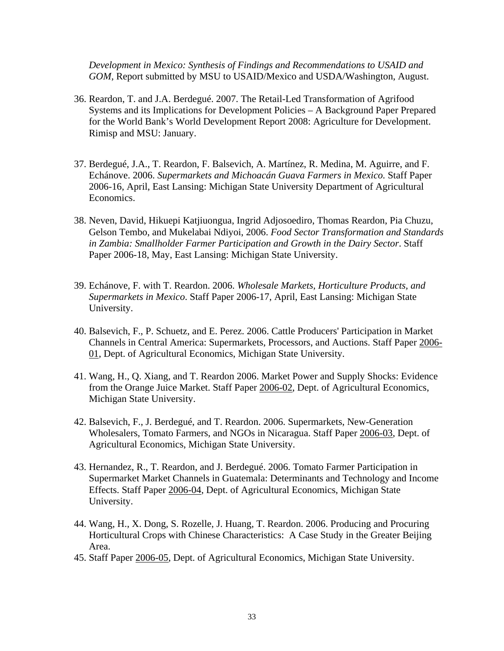*Development in Mexico: Synthesis of Findings and Recommendations to USAID and GOM*, Report submitted by MSU to USAID/Mexico and USDA/Washington, August.

- 36. Reardon, T. and J.A. Berdegué. 2007. The Retail-Led Transformation of Agrifood Systems and its Implications for Development Policies – A Background Paper Prepared for the World Bank's World Development Report 2008: Agriculture for Development. Rimisp and MSU: January.
- 37. Berdegué, J.A., T. Reardon, F. Balsevich, A. Martínez, R. Medina, M. Aguirre, and F. Echánove. 2006. *Supermarkets and Michoacán Guava Farmers in Mexico.* Staff Paper 2006-16, April, East Lansing: Michigan State University Department of Agricultural Economics.
- 38. Neven, David, Hikuepi Katjiuongua, Ingrid Adjosoediro, Thomas Reardon, Pia Chuzu, Gelson Tembo, and Mukelabai Ndiyoi, 2006. *Food Sector Transformation and Standards in Zambia: Smallholder Farmer Participation and Growth in the Dairy Sector*. Staff Paper 2006-18, May, East Lansing: Michigan State University.
- 39. Echánove, F. with T. Reardon. 2006. *Wholesale Markets, Horticulture Products, and Supermarkets in Mexico*. Staff Paper 2006-17, April, East Lansing: Michigan State University.
- 40. Balsevich, F., P. Schuetz, and E. Perez. 2006. Cattle Producers' Participation in Market Channels in Central America: Supermarkets, Processors, and Auctions. Staff Paper 2006- 01, Dept. of Agricultural Economics, Michigan State University.
- 41. Wang, H., Q. Xiang, and T. Reardon 2006. Market Power and Supply Shocks: Evidence from the Orange Juice Market. Staff Paper 2006-02, Dept. of Agricultural Economics, Michigan State University.
- 42. Balsevich, F., J. Berdegué, and T. Reardon. 2006. Supermarkets, New-Generation Wholesalers, Tomato Farmers, and NGOs in Nicaragua. Staff Paper 2006-03, Dept. of Agricultural Economics, Michigan State University.
- 43. Hernandez, R., T. Reardon, and J. Berdegué. 2006. Tomato Farmer Participation in Supermarket Market Channels in Guatemala: Determinants and Technology and Income Effects. Staff Paper 2006-04, Dept. of Agricultural Economics, Michigan State University.
- 44. Wang, H., X. Dong, S. Rozelle, J. Huang, T. Reardon. 2006. Producing and Procuring Horticultural Crops with Chinese Characteristics: A Case Study in the Greater Beijing Area.
- 45. Staff Paper 2006-05, Dept. of Agricultural Economics, Michigan State University.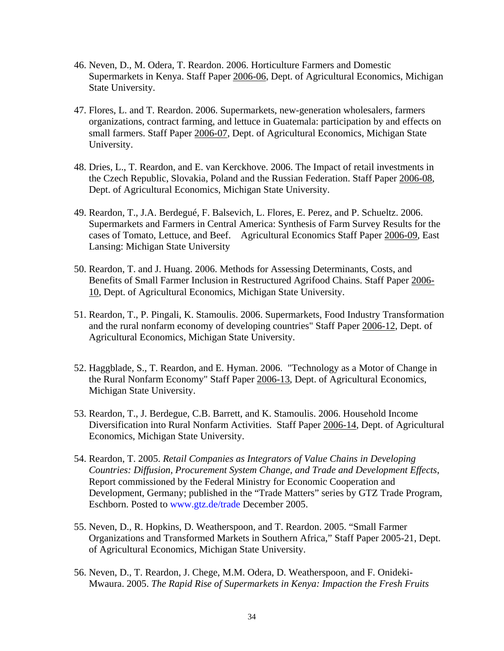- 46. Neven, D., M. Odera, T. Reardon. 2006. Horticulture Farmers and Domestic Supermarkets in Kenya. Staff Paper 2006-06, Dept. of Agricultural Economics, Michigan State University.
- 47. Flores, L. and T. Reardon. 2006. Supermarkets, new-generation wholesalers, farmers organizations, contract farming, and lettuce in Guatemala: participation by and effects on small farmers. Staff Paper 2006-07, Dept. of Agricultural Economics, Michigan State University.
- 48. Dries, L., T. Reardon, and E. van Kerckhove. 2006. The Impact of retail investments in the Czech Republic, Slovakia, Poland and the Russian Federation. Staff Paper 2006-08, Dept. of Agricultural Economics, Michigan State University.
- 49. Reardon, T., J.A. Berdegué, F. Balsevich, L. Flores, E. Perez, and P. Schueltz. 2006. Supermarkets and Farmers in Central America: Synthesis of Farm Survey Results for the cases of Tomato, Lettuce, and Beef. Agricultural Economics Staff Paper 2006-09, East Lansing: Michigan State University
- 50. Reardon, T. and J. Huang. 2006. Methods for Assessing Determinants, Costs, and Benefits of Small Farmer Inclusion in Restructured Agrifood Chains. Staff Paper 2006- 10, Dept. of Agricultural Economics, Michigan State University.
- 51. Reardon, T., P. Pingali, K. Stamoulis. 2006. Supermarkets, Food Industry Transformation and the rural nonfarm economy of developing countries" Staff Paper 2006-12, Dept. of Agricultural Economics, Michigan State University.
- 52. Haggblade, S., T. Reardon, and E. Hyman. 2006. "Technology as a Motor of Change in the Rural Nonfarm Economy" Staff Paper 2006-13, Dept. of Agricultural Economics, Michigan State University.
- 53. Reardon, T., J. Berdegue, C.B. Barrett, and K. Stamoulis. 2006. Household Income Diversification into Rural Nonfarm Activities. Staff Paper 2006-14, Dept. of Agricultural Economics, Michigan State University.
- 54. Reardon, T. 2005. *Retail Companies as Integrators of Value Chains in Developing Countries: Diffusion, Procurement System Change, and Trade and Development Effects*, Report commissioned by the Federal Ministry for Economic Cooperation and Development, Germany; published in the "Trade Matters" series by GTZ Trade Program, Eschborn. Posted to www.gtz.de/trade December 2005.
- 55. Neven, D., R. Hopkins, D. Weatherspoon, and T. Reardon. 2005. "Small Farmer Organizations and Transformed Markets in Southern Africa," Staff Paper 2005-21, Dept. of Agricultural Economics, Michigan State University.
- 56. Neven, D., T. Reardon, J. Chege, M.M. Odera, D. Weatherspoon, and F. Onideki-Mwaura. 2005. *The Rapid Rise of Supermarkets in Kenya: Impaction the Fresh Fruits*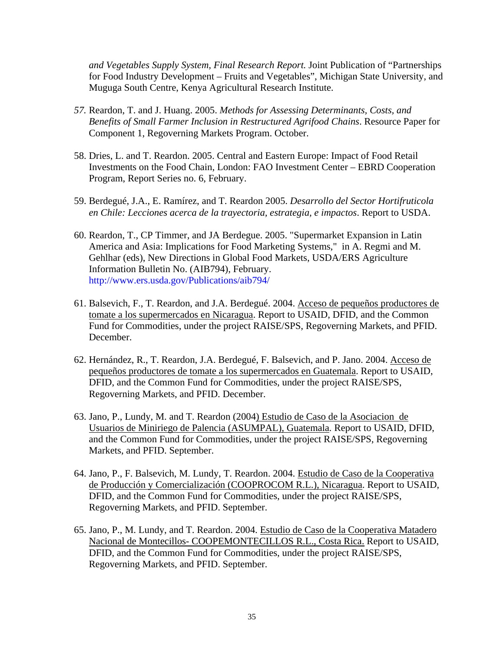*and Vegetables Supply System, Final Research Report.* Joint Publication of "Partnerships for Food Industry Development – Fruits and Vegetables", Michigan State University, and Muguga South Centre, Kenya Agricultural Research Institute.

- *57.* Reardon, T. and J. Huang. 2005. *Methods for Assessing Determinants, Costs, and Benefits of Small Farmer Inclusion in Restructured Agrifood Chains*. Resource Paper for Component 1, Regoverning Markets Program. October.
- 58. Dries, L. and T. Reardon. 2005. Central and Eastern Europe: Impact of Food Retail Investments on the Food Chain, London: FAO Investment Center – EBRD Cooperation Program, Report Series no. 6, February.
- 59. Berdegué, J.A., E. Ramírez, and T. Reardon 2005. *Desarrollo del Sector Hortifruticola en Chile: Lecciones acerca de la trayectoria, estrategia, e impactos*. Report to USDA.
- 60. Reardon, T., CP Timmer, and JA Berdegue. 2005. "Supermarket Expansion in Latin America and Asia: Implications for Food Marketing Systems," in A. Regmi and M. Gehlhar (eds), New Directions in Global Food Markets, USDA/ERS Agriculture Information Bulletin No. (AIB794), February. http://www.ers.usda.gov/Publications/aib794/
- 61. Balsevich, F., T. Reardon, and J.A. Berdegué. 2004. Acceso de pequeños productores de tomate a los supermercados en Nicaragua. Report to USAID, DFID, and the Common Fund for Commodities, under the project RAISE/SPS, Regoverning Markets, and PFID. December.
- 62. Hernández, R., T. Reardon, J.A. Berdegué, F. Balsevich, and P. Jano. 2004. Acceso de pequeños productores de tomate a los supermercados en Guatemala. Report to USAID, DFID, and the Common Fund for Commodities, under the project RAISE/SPS, Regoverning Markets, and PFID. December.
- 63. Jano, P., Lundy, M. and T. Reardon (2004) Estudio de Caso de la Asociacion de Usuarios de Miniriego de Palencia (ASUMPAL), Guatemala*.* Report to USAID, DFID, and the Common Fund for Commodities, under the project RAISE/SPS, Regoverning Markets, and PFID. September.
- 64. Jano, P., F. Balsevich, M. Lundy, T. Reardon. 2004. Estudio de Caso de la Cooperativa de Producción y Comercialización (COOPROCOM R.L.), Nicaragua. Report to USAID, DFID, and the Common Fund for Commodities, under the project RAISE/SPS, Regoverning Markets, and PFID. September.
- 65. Jano, P., M. Lundy, and T. Reardon. 2004. Estudio de Caso de la Cooperativa Matadero Nacional de Montecillos- COOPEMONTECILLOS R.L., Costa Rica. Report to USAID, DFID, and the Common Fund for Commodities, under the project RAISE/SPS, Regoverning Markets, and PFID. September.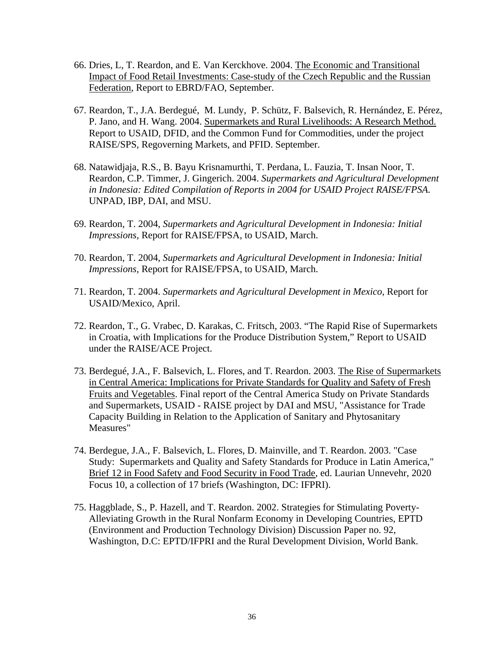- 66. Dries, L, T. Reardon, and E. Van Kerckhove. 2004. The Economic and Transitional Impact of Food Retail Investments: Case-study of the Czech Republic and the Russian Federation, Report to EBRD/FAO, September.
- 67. Reardon, T., J.A. Berdegué, M. Lundy, P. Schütz, F. Balsevich, R. Hernández, E. Pérez, P. Jano, and H. Wang. 2004. Supermarkets and Rural Livelihoods: A Research Method. Report to USAID, DFID, and the Common Fund for Commodities, under the project RAISE/SPS, Regoverning Markets, and PFID. September.
- 68. Natawidjaja, R.S., B. Bayu Krisnamurthi, T. Perdana, L. Fauzia, T. Insan Noor, T. Reardon, C.P. Timmer, J. Gingerich. 2004. *Supermarkets and Agricultural Development in Indonesia: Edited Compilation of Reports in 2004 for USAID Project RAISE/FPSA.* UNPAD, IBP, DAI, and MSU.
- 69. Reardon, T. 2004, *Supermarkets and Agricultural Development in Indonesia: Initial Impressions,* Report for RAISE/FPSA, to USAID, March.
- 70. Reardon, T. 2004, *Supermarkets and Agricultural Development in Indonesia: Initial Impressions,* Report for RAISE/FPSA, to USAID, March.
- 71. Reardon, T. 2004. *Supermarkets and Agricultural Development in Mexico,* Report for USAID/Mexico, April.
- 72. Reardon, T., G. Vrabec, D. Karakas, C. Fritsch, 2003. "The Rapid Rise of Supermarkets in Croatia, with Implications for the Produce Distribution System," Report to USAID under the RAISE/ACE Project.
- 73. Berdegué, J.A., F. Balsevich, L. Flores, and T. Reardon. 2003. The Rise of Supermarkets in Central America: Implications for Private Standards for Quality and Safety of Fresh Fruits and Vegetables. Final report of the Central America Study on Private Standards and Supermarkets, USAID - RAISE project by DAI and MSU, "Assistance for Trade Capacity Building in Relation to the Application of Sanitary and Phytosanitary Measures"
- 74. Berdegue, J.A., F. Balsevich, L. Flores, D. Mainville, and T. Reardon. 2003. "Case Study: Supermarkets and Quality and Safety Standards for Produce in Latin America," Brief 12 in Food Safety and Food Security in Food Trade, ed. Laurian Unnevehr, 2020 Focus 10, a collection of 17 briefs (Washington, DC: IFPRI).
- 75. Haggblade, S., P. Hazell, and T. Reardon. 2002. Strategies for Stimulating Poverty-Alleviating Growth in the Rural Nonfarm Economy in Developing Countries, EPTD (Environment and Production Technology Division) Discussion Paper no. 92, Washington, D.C: EPTD/IFPRI and the Rural Development Division, World Bank.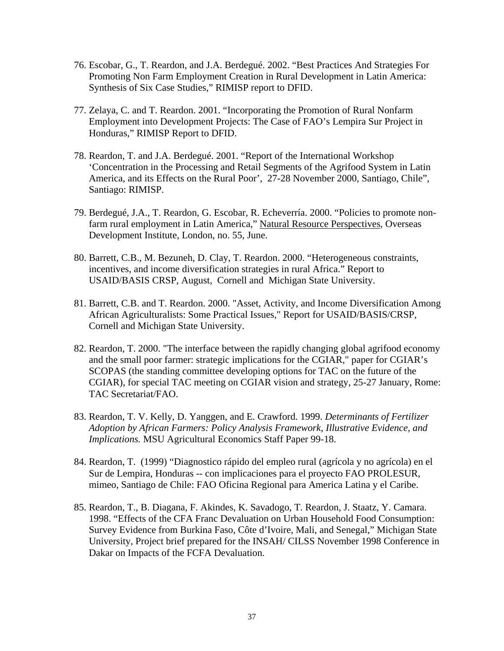- 76. Escobar, G., T. Reardon, and J.A. Berdegué. 2002. "Best Practices And Strategies For Promoting Non Farm Employment Creation in Rural Development in Latin America: Synthesis of Six Case Studies," RIMISP report to DFID.
- 77. Zelaya, C. and T. Reardon. 2001. "Incorporating the Promotion of Rural Nonfarm Employment into Development Projects: The Case of FAO's Lempira Sur Project in Honduras," RIMISP Report to DFID.
- 78. Reardon, T. and J.A. Berdegué. 2001. "Report of the International Workshop 'Concentration in the Processing and Retail Segments of the Agrifood System in Latin America, and its Effects on the Rural Poor', 27-28 November 2000, Santiago, Chile", Santiago: RIMISP.
- 79. Berdegué, J.A., T. Reardon, G. Escobar, R. Echeverría. 2000. "Policies to promote nonfarm rural employment in Latin America," Natural Resource Perspectives, Overseas Development Institute, London, no. 55, June.
- 80. Barrett, C.B., M. Bezuneh, D. Clay, T. Reardon. 2000. "Heterogeneous constraints, incentives, and income diversification strategies in rural Africa." Report to USAID/BASIS CRSP, August, Cornell and Michigan State University.
- 81. Barrett, C.B. and T. Reardon. 2000. "Asset, Activity, and Income Diversification Among African Agriculturalists: Some Practical Issues," Report for USAID/BASIS/CRSP, Cornell and Michigan State University.
- 82. Reardon, T. 2000. "The interface between the rapidly changing global agrifood economy and the small poor farmer: strategic implications for the CGIAR," paper for CGIAR's SCOPAS (the standing committee developing options for TAC on the future of the CGIAR), for special TAC meeting on CGIAR vision and strategy, 25-27 January, Rome: TAC Secretariat/FAO.
- 83. Reardon, T. V. Kelly, D. Yanggen, and E. Crawford. 1999. *Determinants of Fertilizer Adoption by African Farmers: Policy Analysis Framework, Illustrative Evidence, and Implications.* MSU Agricultural Economics Staff Paper 99-18.
- 84. Reardon, T. (1999) "Diagnostico rápido del empleo rural (agrícola y no agrícola) en el Sur de Lempira, Honduras -- con implicaciones para el proyecto FAO PROLESUR, mimeo, Santiago de Chile: FAO Oficina Regional para America Latina y el Caribe.
- 85. Reardon, T., B. Diagana, F. Akindes, K. Savadogo, T. Reardon, J. Staatz, Y. Camara. 1998. "Effects of the CFA Franc Devaluation on Urban Household Food Consumption: Survey Evidence from Burkina Faso, Côte d'Ivoire, Mali, and Senegal," Michigan State University, Project brief prepared for the INSAH/ CILSS November 1998 Conference in Dakar on Impacts of the FCFA Devaluation.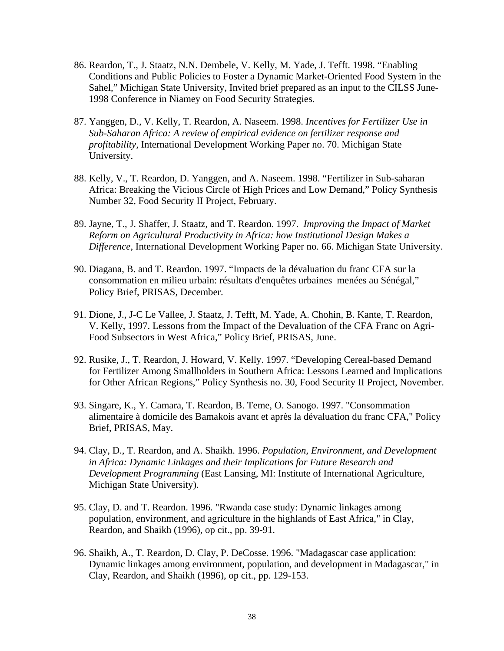- 86. Reardon, T., J. Staatz, N.N. Dembele, V. Kelly, M. Yade, J. Tefft. 1998. "Enabling Conditions and Public Policies to Foster a Dynamic Market-Oriented Food System in the Sahel," Michigan State University, Invited brief prepared as an input to the CILSS June-1998 Conference in Niamey on Food Security Strategies.
- 87. Yanggen, D., V. Kelly, T. Reardon, A. Naseem. 1998. *Incentives for Fertilizer Use in Sub-Saharan Africa: A review of empirical evidence on fertilizer response and profitability,* International Development Working Paper no. 70. Michigan State University.
- 88. Kelly, V., T. Reardon, D. Yanggen, and A. Naseem. 1998. "Fertilizer in Sub-saharan Africa: Breaking the Vicious Circle of High Prices and Low Demand," Policy Synthesis Number 32, Food Security II Project, February.
- 89. Jayne, T., J. Shaffer, J. Staatz, and T. Reardon. 1997. *Improving the Impact of Market Reform on Agricultural Productivity in Africa: how Institutional Design Makes a Difference*, International Development Working Paper no. 66. Michigan State University.
- 90. Diagana, B. and T. Reardon. 1997. "Impacts de la dévaluation du franc CFA sur la consommation en milieu urbain: résultats d'enquêtes urbaines menées au Sénégal," Policy Brief, PRISAS, December.
- 91. Dione, J., J-C Le Vallee, J. Staatz, J. Tefft, M. Yade, A. Chohin, B. Kante, T. Reardon, V. Kelly, 1997. Lessons from the Impact of the Devaluation of the CFA Franc on Agri-Food Subsectors in West Africa," Policy Brief, PRISAS, June.
- 92. Rusike, J., T. Reardon, J. Howard, V. Kelly. 1997. "Developing Cereal-based Demand for Fertilizer Among Smallholders in Southern Africa: Lessons Learned and Implications for Other African Regions," Policy Synthesis no. 30, Food Security II Project, November.
- 93. Singare, K., Y. Camara, T. Reardon, B. Teme, O. Sanogo. 1997. "Consommation alimentaire à domicile des Bamakois avant et après la dévaluation du franc CFA," Policy Brief, PRISAS, May.
- 94. Clay, D., T. Reardon, and A. Shaikh. 1996. *Population, Environment, and Development in Africa: Dynamic Linkages and their Implications for Future Research and Development Programming* (East Lansing, MI: Institute of International Agriculture, Michigan State University).
- 95. Clay, D. and T. Reardon. 1996. "Rwanda case study: Dynamic linkages among population, environment, and agriculture in the highlands of East Africa," in Clay, Reardon, and Shaikh (1996), op cit., pp. 39-91.
- 96. Shaikh, A., T. Reardon, D. Clay, P. DeCosse. 1996. "Madagascar case application: Dynamic linkages among environment, population, and development in Madagascar," in Clay, Reardon, and Shaikh (1996), op cit., pp. 129-153.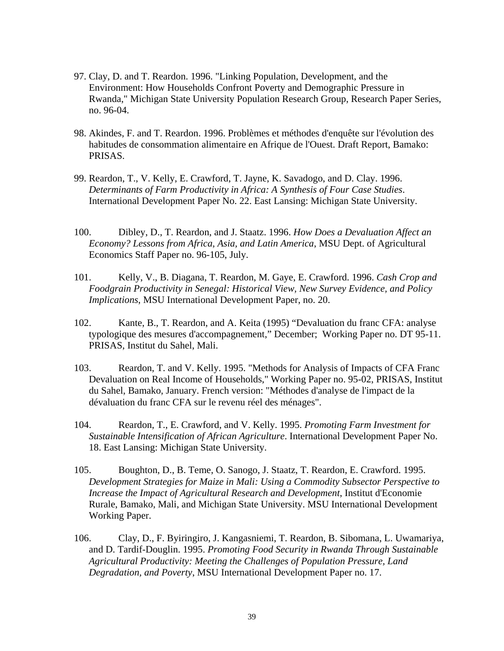- 97. Clay, D. and T. Reardon. 1996. "Linking Population, Development, and the Environment: How Households Confront Poverty and Demographic Pressure in Rwanda," Michigan State University Population Research Group, Research Paper Series, no. 96-04.
- 98. Akindes, F. and T. Reardon. 1996. Problèmes et méthodes d'enquête sur l'évolution des habitudes de consommation alimentaire en Afrique de l'Ouest. Draft Report, Bamako: PRISAS.
- 99. Reardon, T., V. Kelly, E. Crawford, T. Jayne, K. Savadogo, and D. Clay. 1996. *Determinants of Farm Productivity in Africa: A Synthesis of Four Case Studies*. International Development Paper No. 22. East Lansing: Michigan State University.
- 100. Dibley, D., T. Reardon, and J. Staatz. 1996. *How Does a Devaluation Affect an Economy? Lessons from Africa, Asia, and Latin America*, MSU Dept. of Agricultural Economics Staff Paper no. 96-105, July.
- 101. Kelly, V., B. Diagana, T. Reardon, M. Gaye, E. Crawford. 1996. *Cash Crop and Foodgrain Productivity in Senegal: Historical View, New Survey Evidence, and Policy Implications*, MSU International Development Paper, no. 20.
- 102. Kante, B., T. Reardon, and A. Keita (1995) "Devaluation du franc CFA: analyse typologique des mesures d'accompagnement," December; Working Paper no. DT 95-11. PRISAS, Institut du Sahel, Mali.
- 103. Reardon, T. and V. Kelly. 1995. "Methods for Analysis of Impacts of CFA Franc Devaluation on Real Income of Households," Working Paper no. 95-02, PRISAS, Institut du Sahel, Bamako, January. French version: "Méthodes d'analyse de l'impact de la dévaluation du franc CFA sur le revenu réel des ménages".
- 104. Reardon, T., E. Crawford, and V. Kelly. 1995. *Promoting Farm Investment for Sustainable Intensification of African Agriculture*. International Development Paper No. 18. East Lansing: Michigan State University.
- 105. Boughton, D., B. Teme, O. Sanogo, J. Staatz, T. Reardon, E. Crawford. 1995. *Development Strategies for Maize in Mali: Using a Commodity Subsector Perspective to Increase the Impact of Agricultural Research and Development*, Institut d'Economie Rurale, Bamako, Mali, and Michigan State University. MSU International Development Working Paper.
- 106. Clay, D., F. Byiringiro, J. Kangasniemi, T. Reardon, B. Sibomana, L. Uwamariya, and D. Tardif-Douglin. 1995. *Promoting Food Security in Rwanda Through Sustainable Agricultural Productivity: Meeting the Challenges of Population Pressure, Land Degradation, and Poverty*, MSU International Development Paper no. 17.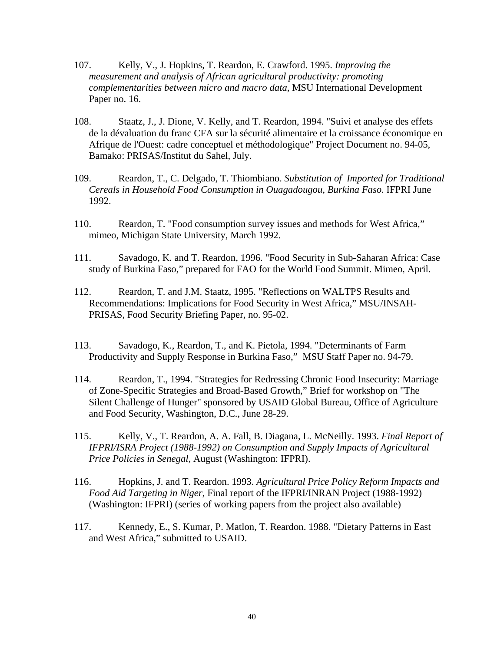- 107. Kelly, V., J. Hopkins, T. Reardon, E. Crawford. 1995. *Improving the measurement and analysis of African agricultural productivity: promoting complementarities between micro and macro data*, MSU International Development Paper no. 16.
- 108. Staatz, J., J. Dione, V. Kelly, and T. Reardon, 1994. "Suivi et analyse des effets de la dévaluation du franc CFA sur la sécurité alimentaire et la croissance économique en Afrique de l'Ouest: cadre conceptuel et méthodologique" Project Document no. 94-05, Bamako: PRISAS/Institut du Sahel, July.
- 109. Reardon, T., C. Delgado, T. Thiombiano. *Substitution of Imported for Traditional Cereals in Household Food Consumption in Ouagadougou, Burkina Faso*. IFPRI June 1992.
- 110. Reardon, T. "Food consumption survey issues and methods for West Africa," mimeo, Michigan State University, March 1992.
- 111. Savadogo, K. and T. Reardon, 1996. "Food Security in Sub-Saharan Africa: Case study of Burkina Faso," prepared for FAO for the World Food Summit. Mimeo, April.
- 112. Reardon, T. and J.M. Staatz, 1995. "Reflections on WALTPS Results and Recommendations: Implications for Food Security in West Africa," MSU/INSAH-PRISAS, Food Security Briefing Paper, no. 95-02.
- 113. Savadogo, K., Reardon, T., and K. Pietola, 1994. "Determinants of Farm Productivity and Supply Response in Burkina Faso," MSU Staff Paper no. 94-79.
- 114. Reardon, T., 1994. "Strategies for Redressing Chronic Food Insecurity: Marriage of Zone-Specific Strategies and Broad-Based Growth," Brief for workshop on "The Silent Challenge of Hunger" sponsored by USAID Global Bureau, Office of Agriculture and Food Security, Washington, D.C., June 28-29.
- 115. Kelly, V., T. Reardon, A. A. Fall, B. Diagana, L. McNeilly. 1993. *Final Report of IFPRI/ISRA Project (1988-1992) on Consumption and Supply Impacts of Agricultural Price Policies in Senegal*, August (Washington: IFPRI).
- 116. Hopkins, J. and T. Reardon. 1993. *Agricultural Price Policy Reform Impacts and Food Aid Targeting in Niger*, Final report of the IFPRI/INRAN Project (1988-1992) (Washington: IFPRI) (series of working papers from the project also available)
- 117. Kennedy, E., S. Kumar, P. Matlon, T. Reardon. 1988. "Dietary Patterns in East and West Africa," submitted to USAID.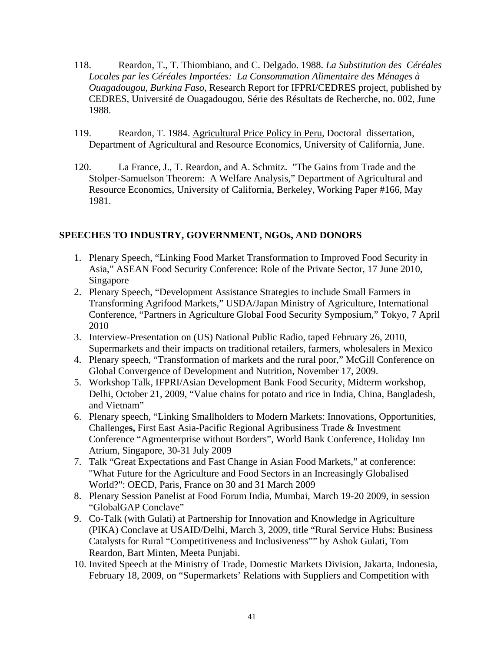- 118. Reardon, T., T. Thiombiano, and C. Delgado. 1988. *La Substitution des Céréales Locales par les Céréales Importées: La Consommation Alimentaire des Ménages à Ouagadougou, Burkina Faso*, Research Report for IFPRI/CEDRES project, published by CEDRES, Université de Ouagadougou, Série des Résultats de Recherche, no. 002, June 1988.
- 119. Reardon, T. 1984. Agricultural Price Policy in Peru, Doctoral dissertation, Department of Agricultural and Resource Economics, University of California, June.
- 120. La France, J., T. Reardon, and A. Schmitz. "The Gains from Trade and the Stolper-Samuelson Theorem: A Welfare Analysis," Department of Agricultural and Resource Economics, University of California, Berkeley, Working Paper #166, May 1981.

### **SPEECHES TO INDUSTRY, GOVERNMENT, NGOs, AND DONORS**

- 1. Plenary Speech, "Linking Food Market Transformation to Improved Food Security in Asia," ASEAN Food Security Conference: Role of the Private Sector, 17 June 2010, Singapore
- 2. Plenary Speech, "Development Assistance Strategies to include Small Farmers in Transforming Agrifood Markets," USDA/Japan Ministry of Agriculture, International Conference, "Partners in Agriculture Global Food Security Symposium," Tokyo, 7 April 2010
- 3. Interview-Presentation on (US) National Public Radio, taped February 26, 2010, Supermarkets and their impacts on traditional retailers, farmers, wholesalers in Mexico
- 4. Plenary speech, "Transformation of markets and the rural poor," McGill Conference on Global Convergence of Development and Nutrition, November 17, 2009.
- 5. Workshop Talk, IFPRI/Asian Development Bank Food Security, Midterm workshop, Delhi, October 21, 2009, "Value chains for potato and rice in India, China, Bangladesh, and Vietnam"
- 6. Plenary speech, "Linking Smallholders to Modern Markets: Innovations, Opportunities, Challenge**s,** First East Asia-Pacific Regional Agribusiness Trade & Investment Conference "Agroenterprise without Borders", World Bank Conference, Holiday Inn Atrium, Singapore, 30-31 July 2009
- 7. Talk "Great Expectations and Fast Change in Asian Food Markets," at conference: "What Future for the Agriculture and Food Sectors in an Increasingly Globalised World?": OECD, Paris, France on 30 and 31 March 2009
- 8. Plenary Session Panelist at Food Forum India, Mumbai, March 19-20 2009, in session "GlobalGAP Conclave"
- 9. Co-Talk (with Gulati) at Partnership for Innovation and Knowledge in Agriculture (PIKA) Conclave at USAID/Delhi, March 3, 2009, title "Rural Service Hubs: Business Catalysts for Rural "Competitiveness and Inclusiveness"" by Ashok Gulati, Tom Reardon, Bart Minten, Meeta Punjabi.
- 10. Invited Speech at the Ministry of Trade, Domestic Markets Division, Jakarta, Indonesia, February 18, 2009, on "Supermarkets' Relations with Suppliers and Competition with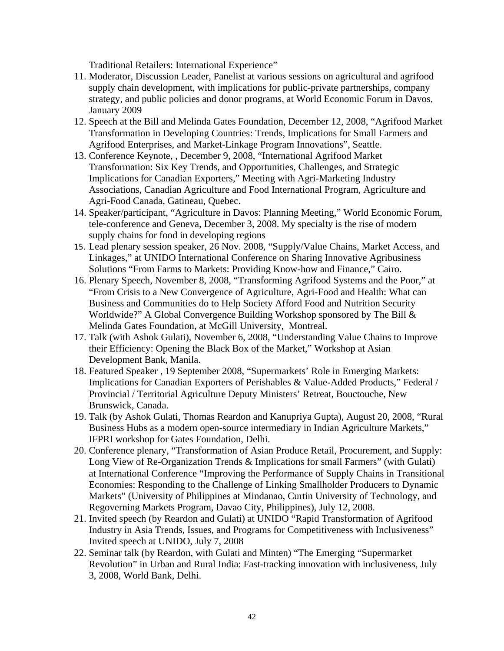Traditional Retailers: International Experience"

- 11. Moderator, Discussion Leader, Panelist at various sessions on agricultural and agrifood supply chain development, with implications for public-private partnerships, company strategy, and public policies and donor programs, at World Economic Forum in Davos, January 2009
- 12. Speech at the Bill and Melinda Gates Foundation, December 12, 2008, "Agrifood Market Transformation in Developing Countries: Trends, Implications for Small Farmers and Agrifood Enterprises, and Market-Linkage Program Innovations", Seattle.
- 13. Conference Keynote, , December 9, 2008, "International Agrifood Market Transformation: Six Key Trends, and Opportunities, Challenges, and Strategic Implications for Canadian Exporters," Meeting with Agri-Marketing Industry Associations, Canadian Agriculture and Food International Program, Agriculture and Agri-Food Canada, Gatineau, Quebec.
- 14. Speaker/participant, "Agriculture in Davos: Planning Meeting," World Economic Forum, tele-conference and Geneva, December 3, 2008. My specialty is the rise of modern supply chains for food in developing regions
- 15. Lead plenary session speaker, 26 Nov. 2008, "Supply/Value Chains, Market Access, and Linkages," at UNIDO International Conference on Sharing Innovative Agribusiness Solutions "From Farms to Markets: Providing Know-how and Finance," Cairo.
- 16. Plenary Speech, November 8, 2008, "Transforming Agrifood Systems and the Poor," at "From Crisis to a New Convergence of Agriculture, Agri-Food and Health: What can Business and Communities do to Help Society Afford Food and Nutrition Security Worldwide?" A Global Convergence Building Workshop sponsored by The Bill & Melinda Gates Foundation, at McGill University, Montreal.
- 17. Talk (with Ashok Gulati), November 6, 2008, "Understanding Value Chains to Improve their Efficiency: Opening the Black Box of the Market," Workshop at Asian Development Bank, Manila.
- 18. Featured Speaker , 19 September 2008, "Supermarkets' Role in Emerging Markets: Implications for Canadian Exporters of Perishables & Value-Added Products," Federal / Provincial / Territorial Agriculture Deputy Ministers' Retreat, Bouctouche, New Brunswick, Canada.
- 19. Talk (by Ashok Gulati, Thomas Reardon and Kanupriya Gupta), August 20, 2008, "Rural Business Hubs as a modern open-source intermediary in Indian Agriculture Markets," IFPRI workshop for Gates Foundation, Delhi.
- 20. Conference plenary, "Transformation of Asian Produce Retail, Procurement, and Supply: Long View of Re-Organization Trends & Implications for small Farmers" (with Gulati) at International Conference "Improving the Performance of Supply Chains in Transitional Economies: Responding to the Challenge of Linking Smallholder Producers to Dynamic Markets" (University of Philippines at Mindanao, Curtin University of Technology, and Regoverning Markets Program, Davao City, Philippines), July 12, 2008.
- 21. Invited speech (by Reardon and Gulati) at UNIDO "Rapid Transformation of Agrifood Industry in Asia Trends, Issues, and Programs for Competitiveness with Inclusiveness" Invited speech at UNIDO, July 7, 2008
- 22. Seminar talk (by Reardon, with Gulati and Minten) "The Emerging "Supermarket Revolution" in Urban and Rural India: Fast-tracking innovation with inclusiveness, July 3, 2008, World Bank, Delhi.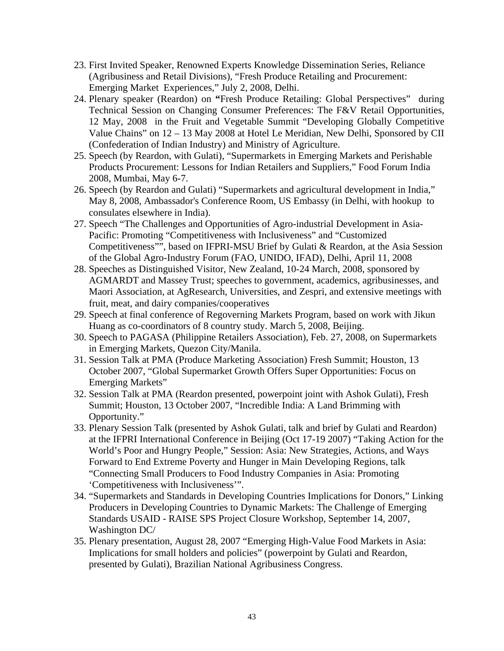- 23. First Invited Speaker, Renowned Experts Knowledge Dissemination Series, Reliance (Agribusiness and Retail Divisions), "Fresh Produce Retailing and Procurement: Emerging Market Experiences," July 2, 2008, Delhi.
- 24. Plenary speaker (Reardon) on **"**Fresh Produce Retailing: Global Perspectives" during Technical Session on Changing Consumer Preferences: The F&V Retail Opportunities, 12 May, 2008 in the Fruit and Vegetable Summit "Developing Globally Competitive Value Chains" on 12 – 13 May 2008 at Hotel Le Meridian, New Delhi, Sponsored by CII (Confederation of Indian Industry) and Ministry of Agriculture.
- 25. Speech (by Reardon, with Gulati), "Supermarkets in Emerging Markets and Perishable Products Procurement: Lessons for Indian Retailers and Suppliers," Food Forum India 2008, Mumbai, May 6-7.
- 26. Speech (by Reardon and Gulati) "Supermarkets and agricultural development in India," May 8, 2008, Ambassador's Conference Room, US Embassy (in Delhi, with hookup to consulates elsewhere in India).
- 27. Speech "The Challenges and Opportunities of Agro-industrial Development in Asia-Pacific: Promoting "Competitiveness with Inclusiveness" and "Customized Competitiveness"", based on IFPRI-MSU Brief by Gulati & Reardon, at the Asia Session of the Global Agro-Industry Forum (FAO, UNIDO, IFAD), Delhi, April 11, 2008
- 28. Speeches as Distinguished Visitor, New Zealand, 10-24 March, 2008, sponsored by AGMARDT and Massey Trust; speeches to government, academics, agribusinesses, and Maori Association, at AgResearch, Universities, and Zespri, and extensive meetings with fruit, meat, and dairy companies/cooperatives
- 29. Speech at final conference of Regoverning Markets Program, based on work with Jikun Huang as co-coordinators of 8 country study. March 5, 2008, Beijing.
- 30. Speech to PAGASA (Philippine Retailers Association), Feb. 27, 2008, on Supermarkets in Emerging Markets, Quezon City/Manila.
- 31. Session Talk at PMA (Produce Marketing Association) Fresh Summit; Houston, 13 October 2007, "Global Supermarket Growth Offers Super Opportunities: Focus on Emerging Markets"
- 32. Session Talk at PMA (Reardon presented, powerpoint joint with Ashok Gulati), Fresh Summit; Houston, 13 October 2007, "Incredible India: A Land Brimming with Opportunity."
- 33. Plenary Session Talk (presented by Ashok Gulati, talk and brief by Gulati and Reardon) at the IFPRI International Conference in Beijing (Oct 17-19 2007) "Taking Action for the World's Poor and Hungry People," Session: Asia: New Strategies, Actions, and Ways Forward to End Extreme Poverty and Hunger in Main Developing Regions, talk "Connecting Small Producers to Food Industry Companies in Asia: Promoting 'Competitiveness with Inclusiveness'".
- 34. "Supermarkets and Standards in Developing Countries Implications for Donors," Linking Producers in Developing Countries to Dynamic Markets: The Challenge of Emerging Standards USAID - RAISE SPS Project Closure Workshop, September 14, 2007, Washington DC/
- 35. Plenary presentation, August 28, 2007 "Emerging High-Value Food Markets in Asia: Implications for small holders and policies" (powerpoint by Gulati and Reardon, presented by Gulati), Brazilian National Agribusiness Congress.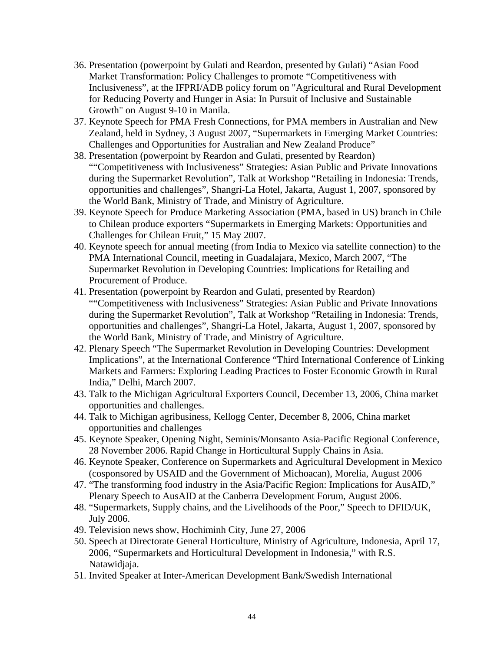- 36. Presentation (powerpoint by Gulati and Reardon, presented by Gulati) "Asian Food Market Transformation: Policy Challenges to promote "Competitiveness with Inclusiveness", at the IFPRI/ADB policy forum on "Agricultural and Rural Development for Reducing Poverty and Hunger in Asia: In Pursuit of Inclusive and Sustainable Growth" on August 9-10 in Manila.
- 37. Keynote Speech for PMA Fresh Connections, for PMA members in Australian and New Zealand, held in Sydney, 3 August 2007, "Supermarkets in Emerging Market Countries: Challenges and Opportunities for Australian and New Zealand Produce"
- 38. Presentation (powerpoint by Reardon and Gulati, presented by Reardon) ""Competitiveness with Inclusiveness" Strategies: Asian Public and Private Innovations during the Supermarket Revolution", Talk at Workshop "Retailing in Indonesia: Trends, opportunities and challenges", Shangri-La Hotel, Jakarta, August 1, 2007, sponsored by the World Bank, Ministry of Trade, and Ministry of Agriculture.
- 39. Keynote Speech for Produce Marketing Association (PMA, based in US) branch in Chile to Chilean produce exporters "Supermarkets in Emerging Markets: Opportunities and Challenges for Chilean Fruit," 15 May 2007.
- 40. Keynote speech for annual meeting (from India to Mexico via satellite connection) to the PMA International Council, meeting in Guadalajara, Mexico, March 2007, "The Supermarket Revolution in Developing Countries: Implications for Retailing and Procurement of Produce.
- 41. Presentation (powerpoint by Reardon and Gulati, presented by Reardon) ""Competitiveness with Inclusiveness" Strategies: Asian Public and Private Innovations during the Supermarket Revolution", Talk at Workshop "Retailing in Indonesia: Trends, opportunities and challenges", Shangri-La Hotel, Jakarta, August 1, 2007, sponsored by the World Bank, Ministry of Trade, and Ministry of Agriculture.
- 42. Plenary Speech "The Supermarket Revolution in Developing Countries: Development Implications", at the International Conference "Third International Conference of Linking Markets and Farmers: Exploring Leading Practices to Foster Economic Growth in Rural India," Delhi, March 2007.
- 43. Talk to the Michigan Agricultural Exporters Council, December 13, 2006, China market opportunities and challenges.
- 44. Talk to Michigan agribusiness, Kellogg Center, December 8, 2006, China market opportunities and challenges
- 45. Keynote Speaker, Opening Night, Seminis/Monsanto Asia-Pacific Regional Conference, 28 November 2006. Rapid Change in Horticultural Supply Chains in Asia.
- 46. Keynote Speaker, Conference on Supermarkets and Agricultural Development in Mexico (cosponsored by USAID and the Government of Michoacan), Morelia, August 2006
- 47. "The transforming food industry in the Asia/Pacific Region: Implications for AusAID," Plenary Speech to AusAID at the Canberra Development Forum, August 2006.
- 48. "Supermarkets, Supply chains, and the Livelihoods of the Poor," Speech to DFID/UK, July 2006.
- 49. Television news show, Hochiminh City, June 27, 2006
- 50. Speech at Directorate General Horticulture, Ministry of Agriculture, Indonesia, April 17, 2006, "Supermarkets and Horticultural Development in Indonesia," with R.S. Natawidjaja.
- 51. Invited Speaker at Inter-American Development Bank/Swedish International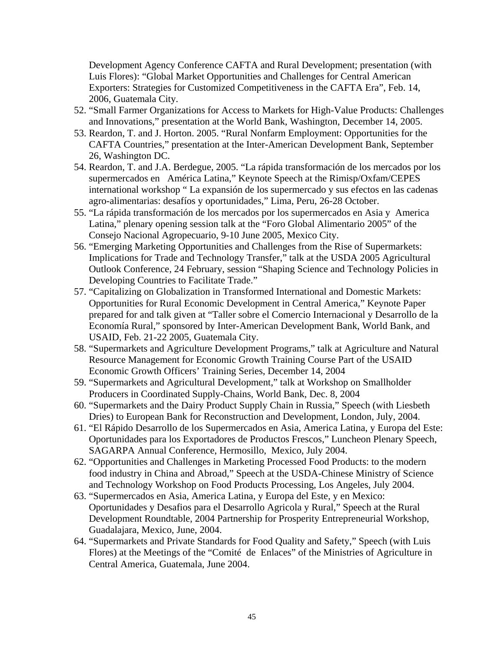Development Agency Conference CAFTA and Rural Development; presentation (with Luis Flores): "Global Market Opportunities and Challenges for Central American Exporters: Strategies for Customized Competitiveness in the CAFTA Era", Feb. 14, 2006, Guatemala City.

- 52. "Small Farmer Organizations for Access to Markets for High-Value Products: Challenges and Innovations," presentation at the World Bank, Washington, December 14, 2005.
- 53. Reardon, T. and J. Horton. 2005. "Rural Nonfarm Employment: Opportunities for the CAFTA Countries," presentation at the Inter-American Development Bank, September 26, Washington DC.
- 54. Reardon, T. and J.A. Berdegue, 2005. "La rápida transformación de los mercados por los supermercados en América Latina," Keynote Speech at the Rimisp/Oxfam/CEPES international workshop " La expansión de los supermercado y sus efectos en las cadenas agro-alimentarias: desafíos y oportunidades," Lima, Peru, 26-28 October.
- 55. "La rápida transformación de los mercados por los supermercados en Asia y America Latina," plenary opening session talk at the "Foro Global Alimentario 2005" of the Consejo Nacional Agropecuario, 9-10 June 2005, Mexico City.
- 56. "Emerging Marketing Opportunities and Challenges from the Rise of Supermarkets: Implications for Trade and Technology Transfer," talk at the USDA 2005 Agricultural Outlook Conference, 24 February, session "Shaping Science and Technology Policies in Developing Countries to Facilitate Trade."
- 57. "Capitalizing on Globalization in Transformed International and Domestic Markets: Opportunities for Rural Economic Development in Central America," Keynote Paper prepared for and talk given at "Taller sobre el Comercio Internacional y Desarrollo de la Economía Rural," sponsored by Inter-American Development Bank, World Bank, and USAID, Feb. 21-22 2005, Guatemala City.
- 58. "Supermarkets and Agriculture Development Programs," talk at Agriculture and Natural Resource Management for Economic Growth Training Course Part of the USAID Economic Growth Officers' Training Series, December 14, 2004
- 59. "Supermarkets and Agricultural Development," talk at Workshop on Smallholder Producers in Coordinated Supply-Chains, World Bank, Dec. 8, 2004
- 60. "Supermarkets and the Dairy Product Supply Chain in Russia," Speech (with Liesbeth Dries) to European Bank for Reconstruction and Development, London, July, 2004.
- 61. "El Rápido Desarrollo de los Supermercados en Asia, America Latina, y Europa del Este: Oportunidades para los Exportadores de Productos Frescos," Luncheon Plenary Speech, SAGARPA Annual Conference, Hermosillo, Mexico, July 2004.
- 62. "Opportunities and Challenges in Marketing Processed Food Products: to the modern food industry in China and Abroad," Speech at the USDA-Chinese Ministry of Science and Technology Workshop on Food Products Processing, Los Angeles, July 2004.
- 63. "Supermercados en Asia, America Latina, y Europa del Este, y en Mexico: Oportunidades y Desafios para el Desarrollo Agricola y Rural," Speech at the Rural Development Roundtable, 2004 Partnership for Prosperity Entrepreneurial Workshop, Guadalajara, Mexico, June, 2004.
- 64. "Supermarkets and Private Standards for Food Quality and Safety," Speech (with Luis Flores) at the Meetings of the "Comité de Enlaces" of the Ministries of Agriculture in Central America, Guatemala, June 2004.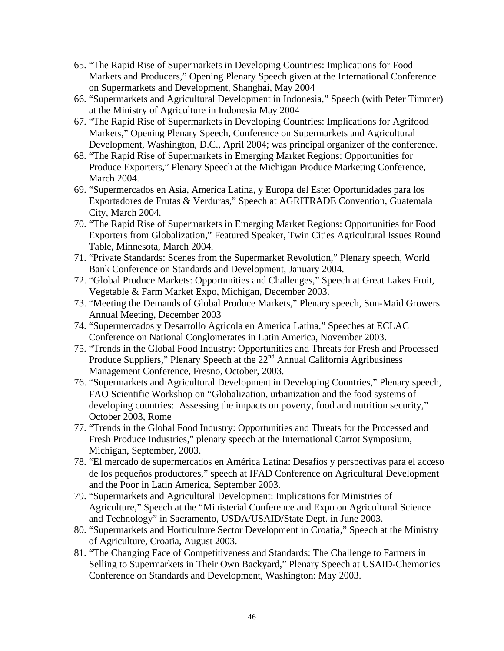- 65. "The Rapid Rise of Supermarkets in Developing Countries: Implications for Food Markets and Producers," Opening Plenary Speech given at the International Conference on Supermarkets and Development, Shanghai, May 2004
- 66. "Supermarkets and Agricultural Development in Indonesia," Speech (with Peter Timmer) at the Ministry of Agriculture in Indonesia May 2004
- 67. "The Rapid Rise of Supermarkets in Developing Countries: Implications for Agrifood Markets," Opening Plenary Speech, Conference on Supermarkets and Agricultural Development, Washington, D.C., April 2004; was principal organizer of the conference.
- 68. "The Rapid Rise of Supermarkets in Emerging Market Regions: Opportunities for Produce Exporters," Plenary Speech at the Michigan Produce Marketing Conference, March 2004.
- 69. "Supermercados en Asia, America Latina, y Europa del Este: Oportunidades para los Exportadores de Frutas & Verduras," Speech at AGRITRADE Convention, Guatemala City, March 2004.
- 70. "The Rapid Rise of Supermarkets in Emerging Market Regions: Opportunities for Food Exporters from Globalization," Featured Speaker, Twin Cities Agricultural Issues Round Table, Minnesota, March 2004.
- 71. "Private Standards: Scenes from the Supermarket Revolution," Plenary speech, World Bank Conference on Standards and Development, January 2004.
- 72. "Global Produce Markets: Opportunities and Challenges," Speech at Great Lakes Fruit, Vegetable & Farm Market Expo, Michigan, December 2003.
- 73. "Meeting the Demands of Global Produce Markets," Plenary speech, Sun-Maid Growers Annual Meeting, December 2003
- 74. "Supermercados y Desarrollo Agricola en America Latina," Speeches at ECLAC Conference on National Conglomerates in Latin America, November 2003.
- 75. "Trends in the Global Food Industry: Opportunities and Threats for Fresh and Processed Produce Suppliers," Plenary Speech at the 22<sup>nd</sup> Annual California Agribusiness Management Conference, Fresno, October, 2003.
- 76. "Supermarkets and Agricultural Development in Developing Countries," Plenary speech, FAO Scientific Workshop on "Globalization, urbanization and the food systems of developing countries: Assessing the impacts on poverty, food and nutrition security," October 2003, Rome
- 77. "Trends in the Global Food Industry: Opportunities and Threats for the Processed and Fresh Produce Industries," plenary speech at the International Carrot Symposium, Michigan, September, 2003.
- 78. "El mercado de supermercados en América Latina: Desafíos y perspectivas para el acceso de los pequeños productores," speech at IFAD Conference on Agricultural Development and the Poor in Latin America, September 2003.
- 79. "Supermarkets and Agricultural Development: Implications for Ministries of Agriculture," Speech at the "Ministerial Conference and Expo on Agricultural Science and Technology" in Sacramento, USDA/USAID/State Dept. in June 2003.
- 80. "Supermarkets and Horticulture Sector Development in Croatia," Speech at the Ministry of Agriculture, Croatia, August 2003.
- 81. "The Changing Face of Competitiveness and Standards: The Challenge to Farmers in Selling to Supermarkets in Their Own Backyard," Plenary Speech at USAID-Chemonics Conference on Standards and Development, Washington: May 2003.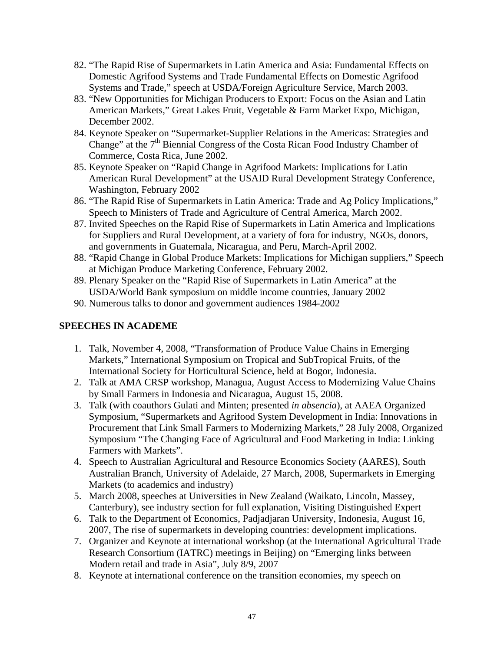- 82. "The Rapid Rise of Supermarkets in Latin America and Asia: Fundamental Effects on Domestic Agrifood Systems and Trade Fundamental Effects on Domestic Agrifood Systems and Trade," speech at USDA/Foreign Agriculture Service, March 2003.
- 83. "New Opportunities for Michigan Producers to Export: Focus on the Asian and Latin American Markets," Great Lakes Fruit, Vegetable & Farm Market Expo, Michigan, December 2002.
- 84. Keynote Speaker on "Supermarket-Supplier Relations in the Americas: Strategies and Change" at the  $7<sup>th</sup>$  Biennial Congress of the Costa Rican Food Industry Chamber of Commerce, Costa Rica, June 2002.
- 85. Keynote Speaker on "Rapid Change in Agrifood Markets: Implications for Latin American Rural Development" at the USAID Rural Development Strategy Conference, Washington, February 2002
- 86. "The Rapid Rise of Supermarkets in Latin America: Trade and Ag Policy Implications," Speech to Ministers of Trade and Agriculture of Central America, March 2002.
- 87. Invited Speeches on the Rapid Rise of Supermarkets in Latin America and Implications for Suppliers and Rural Development, at a variety of fora for industry, NGOs, donors, and governments in Guatemala, Nicaragua, and Peru, March-April 2002.
- 88. "Rapid Change in Global Produce Markets: Implications for Michigan suppliers," Speech at Michigan Produce Marketing Conference, February 2002.
- 89. Plenary Speaker on the "Rapid Rise of Supermarkets in Latin America" at the USDA/World Bank symposium on middle income countries, January 2002
- 90. Numerous talks to donor and government audiences 1984-2002

# **SPEECHES IN ACADEME**

- 1. Talk, November 4, 2008, "Transformation of Produce Value Chains in Emerging Markets," International Symposium on Tropical and SubTropical Fruits, of the International Society for Horticultural Science, held at Bogor, Indonesia.
- 2. Talk at AMA CRSP workshop, Managua, August Access to Modernizing Value Chains by Small Farmers in Indonesia and Nicaragua, August 15, 2008.
- 3. Talk (with coauthors Gulati and Minten; presented *in absencia*), at AAEA Organized Symposium, "Supermarkets and Agrifood System Development in India: Innovations in Procurement that Link Small Farmers to Modernizing Markets," 28 July 2008, Organized Symposium "The Changing Face of Agricultural and Food Marketing in India: Linking Farmers with Markets".
- 4. Speech to Australian Agricultural and Resource Economics Society (AARES), South Australian Branch, University of Adelaide, 27 March, 2008, Supermarkets in Emerging Markets (to academics and industry)
- 5. March 2008, speeches at Universities in New Zealand (Waikato, Lincoln, Massey, Canterbury), see industry section for full explanation, Visiting Distinguished Expert
- 6. Talk to the Department of Economics, Padjadjaran University, Indonesia, August 16, 2007, The rise of supermarkets in developing countries: development implications.
- 7. Organizer and Keynote at international workshop (at the International Agricultural Trade Research Consortium (IATRC) meetings in Beijing) on "Emerging links between Modern retail and trade in Asia", July 8/9, 2007
- 8. Keynote at international conference on the transition economies, my speech on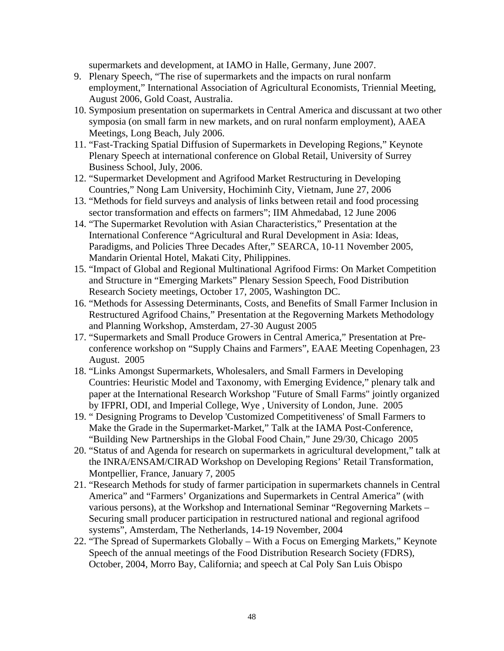supermarkets and development, at IAMO in Halle, Germany, June 2007.

- 9. Plenary Speech, "The rise of supermarkets and the impacts on rural nonfarm employment," International Association of Agricultural Economists, Triennial Meeting, August 2006, Gold Coast, Australia.
- 10. Symposium presentation on supermarkets in Central America and discussant at two other symposia (on small farm in new markets, and on rural nonfarm employment), AAEA Meetings, Long Beach, July 2006.
- 11. "Fast-Tracking Spatial Diffusion of Supermarkets in Developing Regions," Keynote Plenary Speech at international conference on Global Retail, University of Surrey Business School, July, 2006.
- 12. "Supermarket Development and Agrifood Market Restructuring in Developing Countries," Nong Lam University, Hochiminh City, Vietnam, June 27, 2006
- 13. "Methods for field surveys and analysis of links between retail and food processing sector transformation and effects on farmers"; IIM Ahmedabad, 12 June 2006
- 14. "The Supermarket Revolution with Asian Characteristics," Presentation at the International Conference "Agricultural and Rural Development in Asia: Ideas, Paradigms, and Policies Three Decades After," SEARCA, 10-11 November 2005, Mandarin Oriental Hotel, Makati City, Philippines.
- 15. "Impact of Global and Regional Multinational Agrifood Firms: On Market Competition and Structure in "Emerging Markets" Plenary Session Speech, Food Distribution Research Society meetings, October 17, 2005, Washington DC.
- 16. "Methods for Assessing Determinants, Costs, and Benefits of Small Farmer Inclusion in Restructured Agrifood Chains," Presentation at the Regoverning Markets Methodology and Planning Workshop, Amsterdam, 27-30 August 2005
- 17. "Supermarkets and Small Produce Growers in Central America," Presentation at Preconference workshop on "Supply Chains and Farmers", EAAE Meeting Copenhagen, 23 August. 2005
- 18. "Links Amongst Supermarkets, Wholesalers, and Small Farmers in Developing Countries: Heuristic Model and Taxonomy, with Emerging Evidence," plenary talk and paper at the International Research Workshop "Future of Small Farms" jointly organized by IFPRI, ODI, and Imperial College, Wye , University of London, June. 2005
- 19. " Designing Programs to Develop 'Customized Competitiveness' of Small Farmers to Make the Grade in the Supermarket-Market," Talk at the IAMA Post-Conference, "Building New Partnerships in the Global Food Chain," June 29/30, Chicago 2005
- 20. "Status of and Agenda for research on supermarkets in agricultural development," talk at the INRA/ENSAM/CIRAD Workshop on Developing Regions' Retail Transformation, Montpellier, France, January 7, 2005
- 21. "Research Methods for study of farmer participation in supermarkets channels in Central America" and "Farmers' Organizations and Supermarkets in Central America" (with various persons), at the Workshop and International Seminar "Regoverning Markets – Securing small producer participation in restructured national and regional agrifood systems", Amsterdam, The Netherlands, 14-19 November, 2004
- 22. "The Spread of Supermarkets Globally With a Focus on Emerging Markets," Keynote Speech of the annual meetings of the Food Distribution Research Society (FDRS), October, 2004, Morro Bay, California; and speech at Cal Poly San Luis Obispo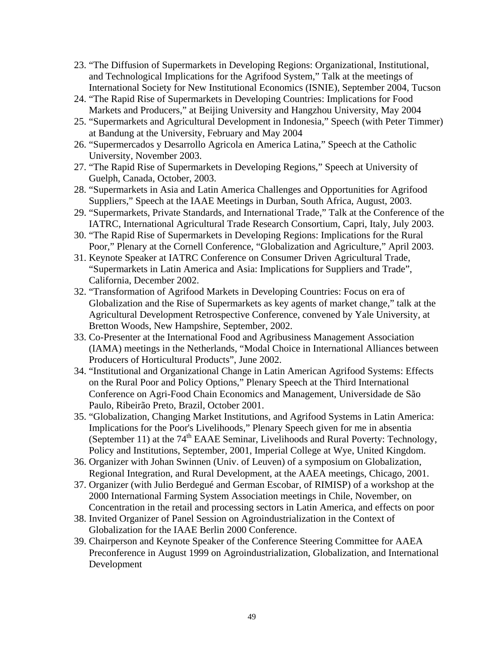- 23. "The Diffusion of Supermarkets in Developing Regions: Organizational, Institutional, and Technological Implications for the Agrifood System," Talk at the meetings of International Society for New Institutional Economics (ISNIE), September 2004, Tucson
- 24. "The Rapid Rise of Supermarkets in Developing Countries: Implications for Food Markets and Producers," at Beijing University and Hangzhou University, May 2004
- 25. "Supermarkets and Agricultural Development in Indonesia," Speech (with Peter Timmer) at Bandung at the University, February and May 2004
- 26. "Supermercados y Desarrollo Agricola en America Latina," Speech at the Catholic University, November 2003.
- 27. "The Rapid Rise of Supermarkets in Developing Regions," Speech at University of Guelph, Canada, October, 2003.
- 28. "Supermarkets in Asia and Latin America Challenges and Opportunities for Agrifood Suppliers," Speech at the IAAE Meetings in Durban, South Africa, August, 2003.
- 29. "Supermarkets, Private Standards, and International Trade," Talk at the Conference of the IATRC, International Agricultural Trade Research Consortium, Capri, Italy, July 2003.
- 30. "The Rapid Rise of Supermarkets in Developing Regions: Implications for the Rural Poor," Plenary at the Cornell Conference, "Globalization and Agriculture," April 2003.
- 31. Keynote Speaker at IATRC Conference on Consumer Driven Agricultural Trade, "Supermarkets in Latin America and Asia: Implications for Suppliers and Trade", California, December 2002.
- 32. "Transformation of Agrifood Markets in Developing Countries: Focus on era of Globalization and the Rise of Supermarkets as key agents of market change," talk at the Agricultural Development Retrospective Conference, convened by Yale University, at Bretton Woods, New Hampshire, September, 2002.
- 33. Co-Presenter at the International Food and Agribusiness Management Association (IAMA) meetings in the Netherlands, "Modal Choice in International Alliances between Producers of Horticultural Products", June 2002.
- 34. "Institutional and Organizational Change in Latin American Agrifood Systems: Effects on the Rural Poor and Policy Options," Plenary Speech at the Third International Conference on Agri-Food Chain Economics and Management, Universidade de São Paulo, Ribeirão Preto, Brazil, October 2001.
- 35. "Globalization, Changing Market Institutions, and Agrifood Systems in Latin America: Implications for the Poor's Livelihoods," Plenary Speech given for me in absentia (September 11) at the  $74<sup>th</sup>$  EAAE Seminar, Livelihoods and Rural Poverty: Technology, Policy and Institutions, September, 2001, Imperial College at Wye, United Kingdom.
- 36. Organizer with Johan Swinnen (Univ. of Leuven) of a symposium on Globalization, Regional Integration, and Rural Development, at the AAEA meetings, Chicago, 2001.
- 37. Organizer (with Julio Berdegué and German Escobar, of RIMISP) of a workshop at the 2000 International Farming System Association meetings in Chile, November, on Concentration in the retail and processing sectors in Latin America, and effects on poor
- 38. Invited Organizer of Panel Session on Agroindustrialization in the Context of Globalization for the IAAE Berlin 2000 Conference.
- 39. Chairperson and Keynote Speaker of the Conference Steering Committee for AAEA Preconference in August 1999 on Agroindustrialization, Globalization, and International Development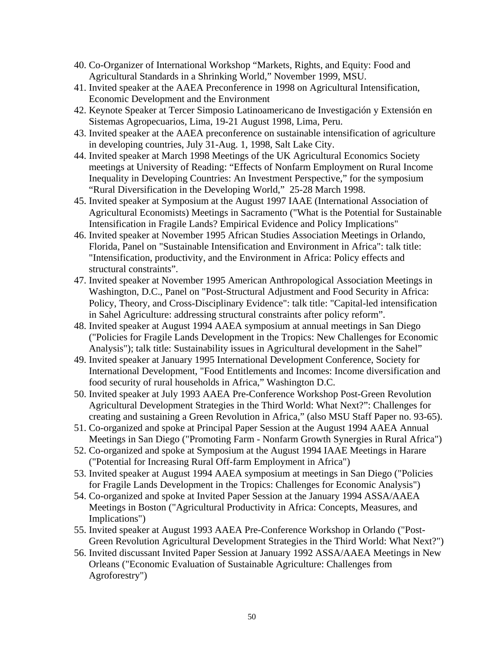- 40. Co-Organizer of International Workshop "Markets, Rights, and Equity: Food and Agricultural Standards in a Shrinking World," November 1999, MSU.
- 41. Invited speaker at the AAEA Preconference in 1998 on Agricultural Intensification, Economic Development and the Environment
- 42. Keynote Speaker at Tercer Simposio Latinoamericano de Investigación y Extensión en Sistemas Agropecuarios, Lima, 19-21 August 1998, Lima, Peru.
- 43. Invited speaker at the AAEA preconference on sustainable intensification of agriculture in developing countries, July 31-Aug. 1, 1998, Salt Lake City.
- 44. Invited speaker at March 1998 Meetings of the UK Agricultural Economics Society meetings at University of Reading: "Effects of Nonfarm Employment on Rural Income Inequality in Developing Countries: An Investment Perspective," for the symposium "Rural Diversification in the Developing World," 25-28 March 1998.
- 45. Invited speaker at Symposium at the August 1997 IAAE (International Association of Agricultural Economists) Meetings in Sacramento ("What is the Potential for Sustainable Intensification in Fragile Lands? Empirical Evidence and Policy Implications"
- 46. Invited speaker at November 1995 African Studies Association Meetings in Orlando, Florida, Panel on "Sustainable Intensification and Environment in Africa": talk title: "Intensification, productivity, and the Environment in Africa: Policy effects and structural constraints".
- 47. Invited speaker at November 1995 American Anthropological Association Meetings in Washington, D.C., Panel on "Post-Structural Adjustment and Food Security in Africa: Policy, Theory, and Cross-Disciplinary Evidence": talk title: "Capital-led intensification in Sahel Agriculture: addressing structural constraints after policy reform".
- 48. Invited speaker at August 1994 AAEA symposium at annual meetings in San Diego ("Policies for Fragile Lands Development in the Tropics: New Challenges for Economic Analysis"); talk title: Sustainability issues in Agricultural development in the Sahel"
- 49. Invited speaker at January 1995 International Development Conference, Society for International Development, "Food Entitlements and Incomes: Income diversification and food security of rural households in Africa," Washington D.C.
- 50. Invited speaker at July 1993 AAEA Pre-Conference Workshop Post-Green Revolution Agricultural Development Strategies in the Third World: What Next?": Challenges for creating and sustaining a Green Revolution in Africa," (also MSU Staff Paper no. 93-65).
- 51. Co-organized and spoke at Principal Paper Session at the August 1994 AAEA Annual Meetings in San Diego ("Promoting Farm - Nonfarm Growth Synergies in Rural Africa")
- 52. Co-organized and spoke at Symposium at the August 1994 IAAE Meetings in Harare ("Potential for Increasing Rural Off-farm Employment in Africa")
- 53. Invited speaker at August 1994 AAEA symposium at meetings in San Diego ("Policies for Fragile Lands Development in the Tropics: Challenges for Economic Analysis")
- 54. Co-organized and spoke at Invited Paper Session at the January 1994 ASSA/AAEA Meetings in Boston ("Agricultural Productivity in Africa: Concepts, Measures, and Implications")
- 55. Invited speaker at August 1993 AAEA Pre-Conference Workshop in Orlando ("Post-Green Revolution Agricultural Development Strategies in the Third World: What Next?")
- 56. Invited discussant Invited Paper Session at January 1992 ASSA/AAEA Meetings in New Orleans ("Economic Evaluation of Sustainable Agriculture: Challenges from Agroforestry")